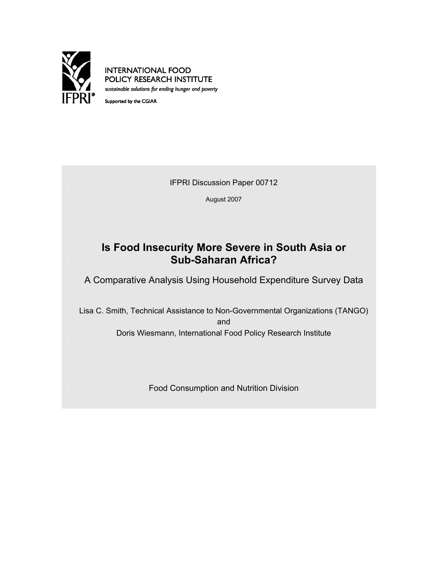

**INTERNATIONAL FOOD** POLICY RESEARCH INSTITUTE sustainable solutions for ending hunger and poverty

Supported by the CGIAR

IFPRI Discussion Paper 00712

August 2007

# **Is Food Insecurity More Severe in South Asia or Sub-Saharan Africa?**

A Comparative Analysis Using Household Expenditure Survey Data

Lisa C. Smith, Technical Assistance to Non-Governmental Organizations (TANGO) and Doris Wiesmann, International Food Policy Research Institute

Food Consumption and Nutrition Division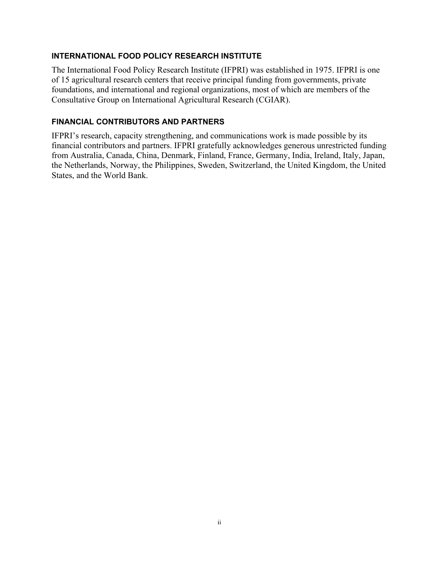## **INTERNATIONAL FOOD POLICY RESEARCH INSTITUTE**

The International Food Policy Research Institute (IFPRI) was established in 1975. IFPRI is one of 15 agricultural research centers that receive principal funding from governments, private foundations, and international and regional organizations, most of which are members of the Consultative Group on International Agricultural Research (CGIAR).

## **FINANCIAL CONTRIBUTORS AND PARTNERS**

IFPRI's research, capacity strengthening, and communications work is made possible by its financial contributors and partners. IFPRI gratefully acknowledges generous unrestricted funding from Australia, Canada, China, Denmark, Finland, France, Germany, India, Ireland, Italy, Japan, the Netherlands, Norway, the Philippines, Sweden, Switzerland, the United Kingdom, the United States, and the World Bank.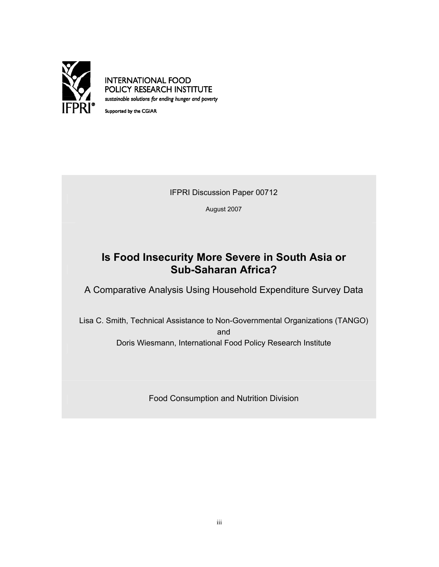

**INTERNATIONAL FOOD** POLICY RESEARCH INSTITUTE sustainable solutions for ending hunger and poverty

Supported by the CGIAR

IFPRI Discussion Paper 00712

August 2007

# **Is Food Insecurity More Severe in South Asia or Sub-Saharan Africa?**

A Comparative Analysis Using Household Expenditure Survey Data

Lisa C. Smith, Technical Assistance to Non-Governmental Organizations (TANGO) and Doris Wiesmann, International Food Policy Research Institute

Food Consumption and Nutrition Division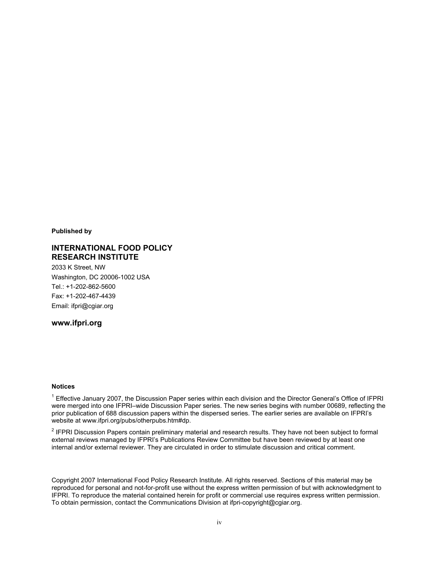**Published by**

#### **INTERNATIONAL FOOD POLICY RESEARCH INSTITUTE**

2033 K Street, NW Washington, DC 20006-1002 USA Tel.: +1-202-862-5600 Fax: +1-202-467-4439 Email: ifpri@cgiar.org

**www.ifpri.org** 

#### **Notices**

<sup>1</sup> Effective January 2007, the Discussion Paper series within each division and the Director General's Office of IFPRI were merged into one IFPRI–wide Discussion Paper series. The new series begins with number 00689, reflecting the prior publication of 688 discussion papers within the dispersed series. The earlier series are available on IFPRI's website at www.ifpri.org/pubs/otherpubs.htm#dp.

 $2$  IFPRI Discussion Papers contain preliminary material and research results. They have not been subject to formal external reviews managed by IFPRI's Publications Review Committee but have been reviewed by at least one internal and/or external reviewer. They are circulated in order to stimulate discussion and critical comment.

Copyright 2007 International Food Policy Research Institute. All rights reserved. Sections of this material may be reproduced for personal and not-for-profit use without the express written permission of but with acknowledgment to IFPRI. To reproduce the material contained herein for profit or commercial use requires express written permission. To obtain permission, contact the Communications Division at ifpri-copyright@cgiar.org.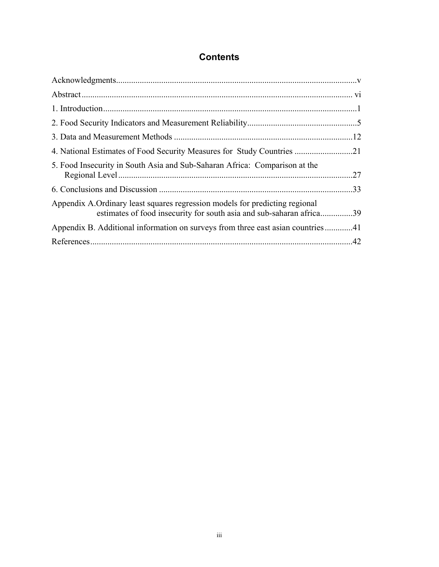# **Contents**

| 4. National Estimates of Food Security Measures for Study Countries 21                                                                              |  |
|-----------------------------------------------------------------------------------------------------------------------------------------------------|--|
| 5. Food Insecurity in South Asia and Sub-Saharan Africa: Comparison at the                                                                          |  |
|                                                                                                                                                     |  |
| Appendix A.Ordinary least squares regression models for predicting regional<br>estimates of food insecurity for south asia and sub-saharan africa39 |  |
|                                                                                                                                                     |  |
|                                                                                                                                                     |  |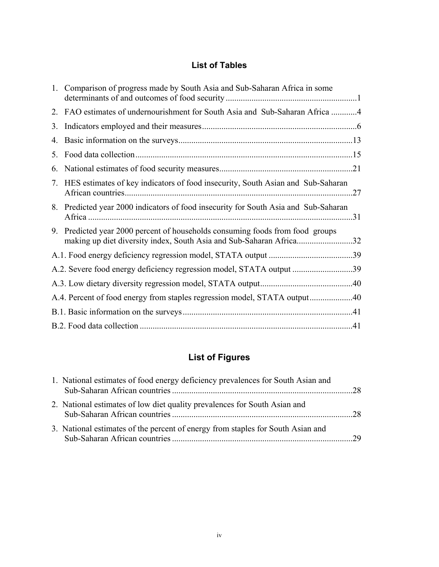# **List of Tables**

|    | 1. Comparison of progress made by South Asia and Sub-Saharan Africa in some                                                                       |  |
|----|---------------------------------------------------------------------------------------------------------------------------------------------------|--|
|    | 2. FAO estimates of undernourishment for South Asia and Sub-Saharan Africa 4                                                                      |  |
| 3. |                                                                                                                                                   |  |
| 4. |                                                                                                                                                   |  |
| 5. |                                                                                                                                                   |  |
| 6. |                                                                                                                                                   |  |
|    | 7. HES estimates of key indicators of food insecurity, South Asian and Sub-Saharan                                                                |  |
|    | 8. Predicted year 2000 indicators of food insecurity for South Asia and Sub-Saharan                                                               |  |
| 9. | Predicted year 2000 percent of households consuming foods from food groups<br>making up diet diversity index, South Asia and Sub-Saharan Africa32 |  |
|    |                                                                                                                                                   |  |
|    | A.2. Severe food energy deficiency regression model, STATA output 39                                                                              |  |
|    |                                                                                                                                                   |  |
|    | A.4. Percent of food energy from staples regression model, STATA output40                                                                         |  |
|    |                                                                                                                                                   |  |
|    |                                                                                                                                                   |  |

# **List of Figures**

| 1. National estimates of food energy deficiency prevalences for South Asian and |      |
|---------------------------------------------------------------------------------|------|
| 2. National estimates of low diet quality prevalences for South Asian and       | $28$ |
| 3. National estimates of the percent of energy from staples for South Asian and | - 29 |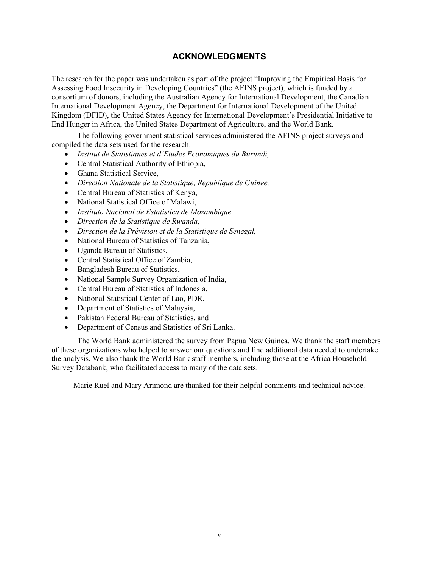## **ACKNOWLEDGMENTS**

The research for the paper was undertaken as part of the project "Improving the Empirical Basis for Assessing Food Insecurity in Developing Countries" (the AFINS project), which is funded by a consortium of donors, including the Australian Agency for International Development, the Canadian International Development Agency, the Department for International Development of the United Kingdom (DFID), the United States Agency for International Development's Presidential Initiative to End Hunger in Africa, the United States Department of Agriculture, and the World Bank.

The following government statistical services administered the AFINS project surveys and compiled the data sets used for the research:

- *Institut de Statistiques et d'Etudes Economiques du Burundi,*
- Central Statistical Authority of Ethiopia,
- Ghana Statistical Service,
- *Direction Nationale de la Statistique, Republique de Guinee,*
- Central Bureau of Statistics of Kenya,
- National Statistical Office of Malawi,
- *Instituto Nacional de Estatistica de Mozambique,*
- *Direction de la Statistique de Rwanda,*
- *Direction de la Prévision et de la Statistique de Senegal,*
- National Bureau of Statistics of Tanzania,
- Uganda Bureau of Statistics,
- Central Statistical Office of Zambia,
- Bangladesh Bureau of Statistics,
- National Sample Survey Organization of India,
- Central Bureau of Statistics of Indonesia,
- National Statistical Center of Lao, PDR,
- Department of Statistics of Malaysia,
- Pakistan Federal Bureau of Statistics, and
- Department of Census and Statistics of Sri Lanka.

The World Bank administered the survey from Papua New Guinea. We thank the staff members of these organizations who helped to answer our questions and find additional data needed to undertake the analysis. We also thank the World Bank staff members, including those at the Africa Household Survey Databank, who facilitated access to many of the data sets.

Marie Ruel and Mary Arimond are thanked for their helpful comments and technical advice.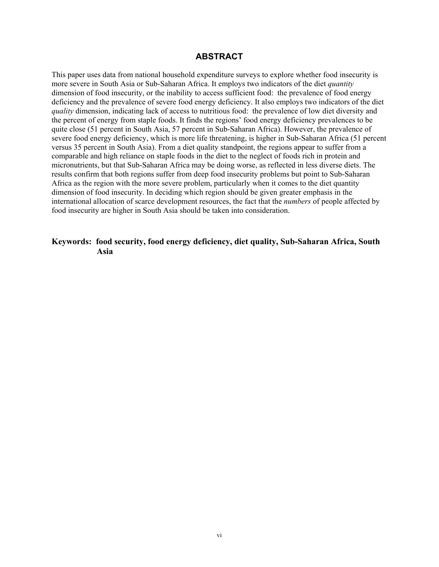## **ABSTRACT**

This paper uses data from national household expenditure surveys to explore whether food insecurity is more severe in South Asia or Sub-Saharan Africa. It employs two indicators of the diet *quantity* dimension of food insecurity, or the inability to access sufficient food: the prevalence of food energy deficiency and the prevalence of severe food energy deficiency. It also employs two indicators of the diet *quality* dimension, indicating lack of access to nutritious food: the prevalence of low diet diversity and the percent of energy from staple foods. It finds the regions' food energy deficiency prevalences to be quite close (51 percent in South Asia, 57 percent in Sub-Saharan Africa). However, the prevalence of severe food energy deficiency, which is more life threatening, is higher in Sub-Saharan Africa (51 percent versus 35 percent in South Asia). From a diet quality standpoint, the regions appear to suffer from a comparable and high reliance on staple foods in the diet to the neglect of foods rich in protein and micronutrients, but that Sub-Saharan Africa may be doing worse, as reflected in less diverse diets. The results confirm that both regions suffer from deep food insecurity problems but point to Sub-Saharan Africa as the region with the more severe problem, particularly when it comes to the diet quantity dimension of food insecurity. In deciding which region should be given greater emphasis in the international allocation of scarce development resources, the fact that the *numbers* of people affected by food insecurity are higher in South Asia should be taken into consideration.

## **Keywords: food security, food energy deficiency, diet quality, Sub-Saharan Africa, South Asia**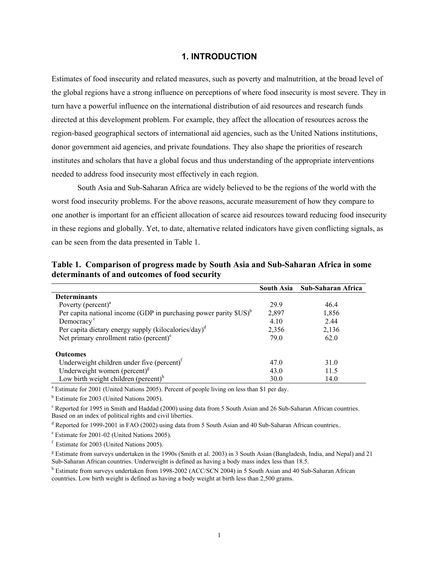### **1. INTRODUCTION**

Estimates of food insecurity and related measures, such as poverty and malnutrition, at the broad level of the global regions have a strong influence on perceptions of where food insecurity is most severe. They in turn have a powerful influence on the international distribution of aid resources and research funds directed at this development problem. For example, they affect the allocation of resources across the region-based geographical sectors of international aid agencies, such as the United Nations institutions, donor government aid agencies, and private foundations. They also shape the priorities of research institutes and scholars that have a global focus and thus understanding of the appropriate interventions needed to address food insecurity most effectively in each region.

South Asia and Sub-Saharan Africa are widely believed to be the regions of the world with the worst food insecurity problems. For the above reasons, accurate measurement of how they compare to one another is important for an efficient allocation of scarce aid resources toward reducing food insecurity in these regions and globally. Yet, to date, alternative related indicators have given conflicting signals, as can be seen from the data presented in Table 1.

|                                                                                                          | South Asia | Sub-Saharan Africa |
|----------------------------------------------------------------------------------------------------------|------------|--------------------|
| <b>Determinants</b>                                                                                      |            |                    |
| Poverty ( $percent$ ) <sup>a</sup>                                                                       | 299        | 46.4               |
| Per capita national income (GDP in purchasing power parity $SUS$ ) <sup>b</sup>                          | 2,897      | 1,856              |
| Democracy <sup>c</sup>                                                                                   | 4.10       | 2.44               |
| Per capita dietary energy supply (kilocalories/day) <sup>d</sup>                                         | 2,356      | 2,136              |
| Net primary enrollment ratio (percent) <sup>e</sup>                                                      | 79.0       | 62.0               |
| <b>Outcomes</b>                                                                                          |            |                    |
| Underweight children under five (percent) <sup>f</sup>                                                   | 47.0       | 31.0               |
| Underweight women (percent) $\mathbf{g}$                                                                 | 43.0       | 11.5               |
| Low birth weight children (percent) $h$                                                                  | 30.0       | 14.0               |
| <sup>a</sup> Estimate for 2001 (United Nations 2005). Percent of people living on less than \$1 per day. |            |                    |

**Table 1. Comparison of progress made by South Asia and Sub-Saharan Africa in some determinants of and outcomes of food security** 

<sup>b</sup> Estimate for 2003 (United Nations 2005).

<sup>c</sup> Reported for 1995 in Smith and Haddad (2000) using data from 5 South Asian and 26 Sub-Saharan African countries. Based on an index of political rights and civil liberties.

<sup>d</sup> Reported for 1999-2001 in FAO (2002) using data from 5 South Asian and 40 Sub-Saharan African countries..

e Estimate for 2001-02 (United Nations 2005).

 $f$  Estimate for 2003 (United Nations 2005).

<sup>g</sup> Estimate from surveys undertaken in the 1990s (Smith et al. 2003) in 3 South Asian (Bangladesh, India, and Nepal) and 21 Sub-Saharan African countries. Underweight is defined as having a body mass index less than 18.5.

<sup>h</sup> Estimate from surveys undertaken from 1998-2002 (ACC/SCN 2004) in 5 South Asian and 40 Sub-Saharan African countries. Low birth weight is defined as having a body weight at birth less than 2,500 grams.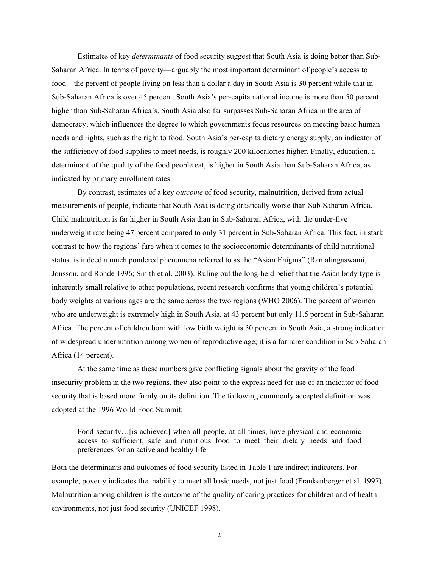Estimates of key *determinants* of food security suggest that South Asia is doing better than Sub-Saharan Africa. In terms of poverty—arguably the most important determinant of people's access to food—the percent of people living on less than a dollar a day in South Asia is 30 percent while that in Sub-Saharan Africa is over 45 percent. South Asia's per-capita national income is more than 50 percent higher than Sub-Saharan Africa's. South Asia also far surpasses Sub-Saharan Africa in the area of democracy, which influences the degree to which governments focus resources on meeting basic human needs and rights, such as the right to food. South Asia's per-capita dietary energy supply, an indicator of the sufficiency of food supplies to meet needs, is roughly 200 kilocalories higher. Finally, education, a determinant of the quality of the food people eat, is higher in South Asia than Sub-Saharan Africa, as indicated by primary enrollment rates.

By contrast, estimates of a key *outcome* of food security, malnutrition, derived from actual measurements of people, indicate that South Asia is doing drastically worse than Sub-Saharan Africa. Child malnutrition is far higher in South Asia than in Sub-Saharan Africa, with the under-five underweight rate being 47 percent compared to only 31 percent in Sub-Saharan Africa. This fact, in stark contrast to how the regions' fare when it comes to the socioeconomic determinants of child nutritional status, is indeed a much pondered phenomena referred to as the "Asian Enigma" (Ramalingaswami, Jonsson, and Rohde 1996; Smith et al. 2003). Ruling out the long-held belief that the Asian body type is inherently small relative to other populations, recent research confirms that young children's potential body weights at various ages are the same across the two regions (WHO 2006). The percent of women who are underweight is extremely high in South Asia, at 43 percent but only 11.5 percent in Sub-Saharan Africa. The percent of children born with low birth weight is 30 percent in South Asia, a strong indication of widespread undernutrition among women of reproductive age; it is a far rarer condition in Sub-Saharan Africa (14 percent).

At the same time as these numbers give conflicting signals about the gravity of the food insecurity problem in the two regions, they also point to the express need for use of an indicator of food security that is based more firmly on its definition. The following commonly accepted definition was adopted at the 1996 World Food Summit:

Food security...[is achieved] when all people, at all times, have physical and economic access to sufficient, safe and nutritious food to meet their dietary needs and food preferences for an active and healthy life.

Both the determinants and outcomes of food security listed in Table 1 are indirect indicators. For example, poverty indicates the inability to meet all basic needs, not just food (Frankenberger et al. 1997). Malnutrition among children is the outcome of the quality of caring practices for children and of health environments, not just food security (UNICEF 1998).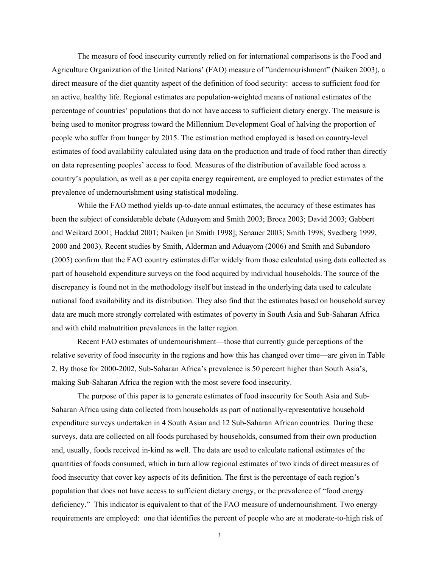The measure of food insecurity currently relied on for international comparisons is the Food and Agriculture Organization of the United Nations' (FAO) measure of "undernourishment" (Naiken 2003), a direct measure of the diet quantity aspect of the definition of food security: access to sufficient food for an active, healthy life. Regional estimates are population-weighted means of national estimates of the percentage of countries' populations that do not have access to sufficient dietary energy. The measure is being used to monitor progress toward the Millennium Development Goal of halving the proportion of people who suffer from hunger by 2015. The estimation method employed is based on country-level estimates of food availability calculated using data on the production and trade of food rather than directly on data representing peoples' access to food. Measures of the distribution of available food across a country's population, as well as a per capita energy requirement, are employed to predict estimates of the prevalence of undernourishment using statistical modeling.

While the FAO method yields up-to-date annual estimates, the accuracy of these estimates has been the subject of considerable debate (Aduayom and Smith 2003; Broca 2003; David 2003; Gabbert and Weikard 2001; Haddad 2001; Naiken [in Smith 1998]; Senauer 2003; Smith 1998; Svedberg 1999, 2000 and 2003). Recent studies by Smith, Alderman and Aduayom (2006) and Smith and Subandoro (2005) confirm that the FAO country estimates differ widely from those calculated using data collected as part of household expenditure surveys on the food acquired by individual households. The source of the discrepancy is found not in the methodology itself but instead in the underlying data used to calculate national food availability and its distribution. They also find that the estimates based on household survey data are much more strongly correlated with estimates of poverty in South Asia and Sub-Saharan Africa and with child malnutrition prevalences in the latter region.

Recent FAO estimates of undernourishment—those that currently guide perceptions of the relative severity of food insecurity in the regions and how this has changed over time—are given in Table 2. By those for 2000-2002, Sub-Saharan Africa's prevalence is 50 percent higher than South Asia's, making Sub-Saharan Africa the region with the most severe food insecurity.

The purpose of this paper is to generate estimates of food insecurity for South Asia and Sub-Saharan Africa using data collected from households as part of nationally-representative household expenditure surveys undertaken in 4 South Asian and 12 Sub-Saharan African countries. During these surveys, data are collected on all foods purchased by households, consumed from their own production and, usually, foods received in-kind as well. The data are used to calculate national estimates of the quantities of foods consumed, which in turn allow regional estimates of two kinds of direct measures of food insecurity that cover key aspects of its definition. The first is the percentage of each region's population that does not have access to sufficient dietary energy, or the prevalence of "food energy deficiency." This indicator is equivalent to that of the FAO measure of undernourishment. Two energy requirements are employed: one that identifies the percent of people who are at moderate-to-high risk of

3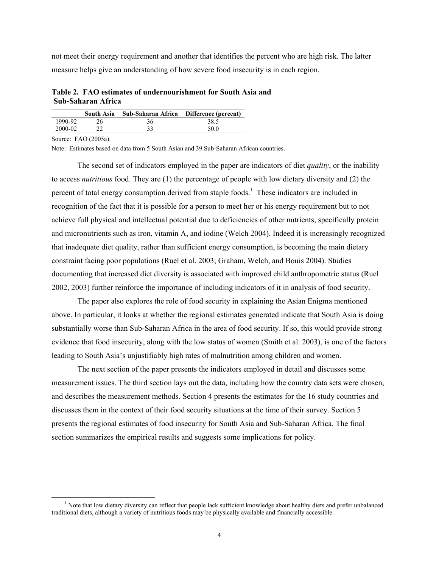not meet their energy requirement and another that identifies the percent who are high risk. The latter measure helps give an understanding of how severe food insecurity is in each region.

**Table 2. FAO estimates of undernourishment for South Asia and Sub-Saharan Africa** 

|         | South Asia | Sub-Saharan Africa Difference (percent) |      |
|---------|------------|-----------------------------------------|------|
| 1990-92 |            | 36                                      | 38.5 |
| 2000-02 |            | 33                                      | 50.0 |

Source: FAO (2005a).

Note: Estimates based on data from 5 South Asian and 39 Sub-Saharan African countries.

The second set of indicators employed in the paper are indicators of diet *quality*, or the inability to access *nutritious* food. They are (1) the percentage of people with low dietary diversity and (2) the percent of total energy consumption derived from staple foods.<sup>1</sup> These indicators are included in recognition of the fact that it is possible for a person to meet her or his energy requirement but to not achieve full physical and intellectual potential due to deficiencies of other nutrients, specifically protein and micronutrients such as iron, vitamin A, and iodine (Welch 2004). Indeed it is increasingly recognized that inadequate diet quality, rather than sufficient energy consumption, is becoming the main dietary constraint facing poor populations (Ruel et al. 2003; Graham, Welch, and Bouis 2004). Studies documenting that increased diet diversity is associated with improved child anthropometric status (Ruel 2002, 2003) further reinforce the importance of including indicators of it in analysis of food security.

The paper also explores the role of food security in explaining the Asian Enigma mentioned above. In particular, it looks at whether the regional estimates generated indicate that South Asia is doing substantially worse than Sub-Saharan Africa in the area of food security. If so, this would provide strong evidence that food insecurity, along with the low status of women (Smith et al. 2003), is one of the factors leading to South Asia's unjustifiably high rates of malnutrition among children and women.

The next section of the paper presents the indicators employed in detail and discusses some measurement issues. The third section lays out the data, including how the country data sets were chosen, and describes the measurement methods. Section 4 presents the estimates for the 16 study countries and discusses them in the context of their food security situations at the time of their survey. Section 5 presents the regional estimates of food insecurity for South Asia and Sub-Saharan Africa. The final section summarizes the empirical results and suggests some implications for policy.

 $\frac{1}{1}$  $<sup>1</sup>$  Note that low dietary diversity can reflect that people lack sufficient knowledge about healthy diets and prefer unbalanced</sup> traditional diets, although a variety of nutritious foods may be physically available and financially accessible.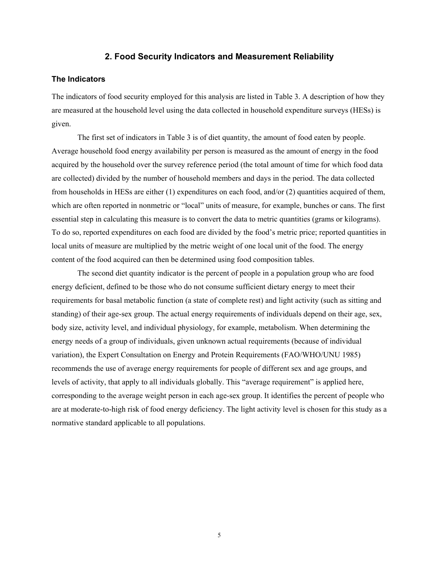## **2. Food Security Indicators and Measurement Reliability**

#### **The Indicators**

The indicators of food security employed for this analysis are listed in Table 3. A description of how they are measured at the household level using the data collected in household expenditure surveys (HESs) is given.

The first set of indicators in Table 3 is of diet quantity, the amount of food eaten by people. Average household food energy availability per person is measured as the amount of energy in the food acquired by the household over the survey reference period (the total amount of time for which food data are collected) divided by the number of household members and days in the period. The data collected from households in HESs are either (1) expenditures on each food, and/or (2) quantities acquired of them, which are often reported in nonmetric or "local" units of measure, for example, bunches or cans. The first essential step in calculating this measure is to convert the data to metric quantities (grams or kilograms). To do so, reported expenditures on each food are divided by the food's metric price; reported quantities in local units of measure are multiplied by the metric weight of one local unit of the food. The energy content of the food acquired can then be determined using food composition tables.

The second diet quantity indicator is the percent of people in a population group who are food energy deficient, defined to be those who do not consume sufficient dietary energy to meet their requirements for basal metabolic function (a state of complete rest) and light activity (such as sitting and standing) of their age-sex group. The actual energy requirements of individuals depend on their age, sex, body size, activity level, and individual physiology, for example, metabolism. When determining the energy needs of a group of individuals, given unknown actual requirements (because of individual variation), the Expert Consultation on Energy and Protein Requirements (FAO/WHO/UNU 1985) recommends the use of average energy requirements for people of different sex and age groups, and levels of activity, that apply to all individuals globally. This "average requirement" is applied here, corresponding to the average weight person in each age-sex group. It identifies the percent of people who are at moderate-to-high risk of food energy deficiency. The light activity level is chosen for this study as a normative standard applicable to all populations.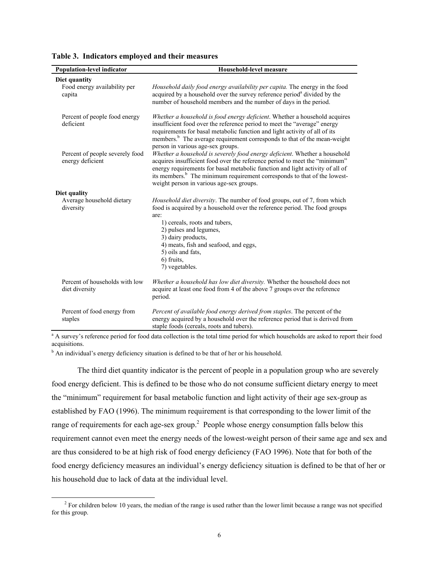| <b>Population-level indicator</b>                       | Household-level measure                                                                                                                                                                                                                                                                                                                                                       |
|---------------------------------------------------------|-------------------------------------------------------------------------------------------------------------------------------------------------------------------------------------------------------------------------------------------------------------------------------------------------------------------------------------------------------------------------------|
| Diet quantity<br>Food energy availability per<br>capita | Household daily food energy availability per capita. The energy in the food<br>acquired by a household over the survey reference period <sup>a</sup> divided by the<br>number of household members and the number of days in the period.                                                                                                                                      |
| Percent of people food energy<br>deficient              | Whether a household is food energy deficient. Whether a household acquires<br>insufficient food over the reference period to meet the "average" energy<br>requirements for basal metabolic function and light activity of all of its<br>members. <sup>b</sup> The average requirement corresponds to that of the mean-weight<br>person in various age-sex groups.             |
| Percent of people severely food<br>energy deficient     | Whether a household is severely food energy deficient. Whether a household<br>acquires insufficient food over the reference period to meet the "minimum"<br>energy requirements for basal metabolic function and light activity of all of<br>its members. <sup>b</sup> The minimum requirement corresponds to that of the lowest-<br>weight person in various age-sex groups. |
| Diet quality<br>Average household dietary<br>diversity  | Household diet diversity. The number of food groups, out of 7, from which<br>food is acquired by a household over the reference period. The food groups<br>are:<br>1) cereals, roots and tubers,<br>2) pulses and legumes,<br>3) dairy products,<br>4) meats, fish and seafood, and eggs,<br>5) oils and fats,<br>6) fruits,<br>7) vegetables.                                |
| Percent of households with low<br>diet diversity        | Whether a household has low diet diversity. Whether the household does not<br>acquire at least one food from 4 of the above 7 groups over the reference<br>period.                                                                                                                                                                                                            |
| Percent of food energy from<br>staples                  | Percent of available food energy derived from staples. The percent of the<br>energy acquired by a household over the reference period that is derived from<br>staple foods (cereals, roots and tubers).                                                                                                                                                                       |

|  | Table 3. Indicators employed and their measures |  |  |  |
|--|-------------------------------------------------|--|--|--|
|--|-------------------------------------------------|--|--|--|

<sup>a</sup> A survey's reference period for food data collection is the total time period for which households are asked to report their food acquisitions.

<sup>b</sup> An individual's energy deficiency situation is defined to be that of her or his household.

The third diet quantity indicator is the percent of people in a population group who are severely food energy deficient. This is defined to be those who do not consume sufficient dietary energy to meet the "minimum" requirement for basal metabolic function and light activity of their age sex-group as established by FAO (1996). The minimum requirement is that corresponding to the lower limit of the range of requirements for each age-sex group.<sup>2</sup> People whose energy consumption falls below this requirement cannot even meet the energy needs of the lowest-weight person of their same age and sex and are thus considered to be at high risk of food energy deficiency (FAO 1996). Note that for both of the food energy deficiency measures an individual's energy deficiency situation is defined to be that of her or his household due to lack of data at the individual level.

 $\overline{a}$  $<sup>2</sup>$  For children below 10 years, the median of the range is used rather than the lower limit because a range was not specified</sup> for this group.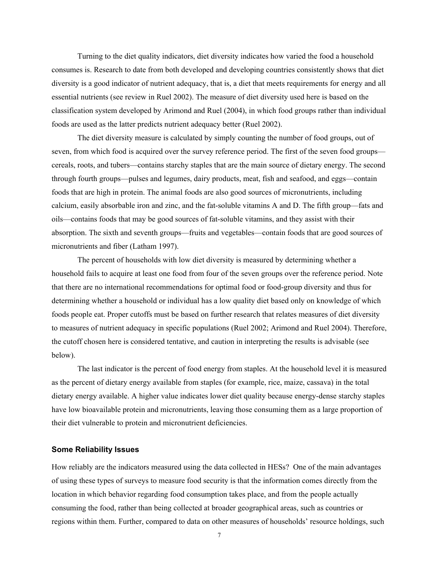Turning to the diet quality indicators, diet diversity indicates how varied the food a household consumes is. Research to date from both developed and developing countries consistently shows that diet diversity is a good indicator of nutrient adequacy, that is, a diet that meets requirements for energy and all essential nutrients (see review in Ruel 2002). The measure of diet diversity used here is based on the classification system developed by Arimond and Ruel (2004), in which food groups rather than individual foods are used as the latter predicts nutrient adequacy better (Ruel 2002).

The diet diversity measure is calculated by simply counting the number of food groups, out of seven, from which food is acquired over the survey reference period. The first of the seven food groups cereals, roots, and tubers—contains starchy staples that are the main source of dietary energy. The second through fourth groups—pulses and legumes, dairy products, meat, fish and seafood, and eggs—contain foods that are high in protein. The animal foods are also good sources of micronutrients, including calcium, easily absorbable iron and zinc, and the fat-soluble vitamins A and D. The fifth group—fats and oils—contains foods that may be good sources of fat-soluble vitamins, and they assist with their absorption. The sixth and seventh groups—fruits and vegetables—contain foods that are good sources of micronutrients and fiber (Latham 1997).

The percent of households with low diet diversity is measured by determining whether a household fails to acquire at least one food from four of the seven groups over the reference period. Note that there are no international recommendations for optimal food or food-group diversity and thus for determining whether a household or individual has a low quality diet based only on knowledge of which foods people eat. Proper cutoffs must be based on further research that relates measures of diet diversity to measures of nutrient adequacy in specific populations (Ruel 2002; Arimond and Ruel 2004). Therefore, the cutoff chosen here is considered tentative, and caution in interpreting the results is advisable (see below).

The last indicator is the percent of food energy from staples. At the household level it is measured as the percent of dietary energy available from staples (for example, rice, maize, cassava) in the total dietary energy available. A higher value indicates lower diet quality because energy-dense starchy staples have low bioavailable protein and micronutrients, leaving those consuming them as a large proportion of their diet vulnerable to protein and micronutrient deficiencies.

#### **Some Reliability Issues**

How reliably are the indicators measured using the data collected in HESs? One of the main advantages of using these types of surveys to measure food security is that the information comes directly from the location in which behavior regarding food consumption takes place, and from the people actually consuming the food, rather than being collected at broader geographical areas, such as countries or regions within them. Further, compared to data on other measures of households' resource holdings, such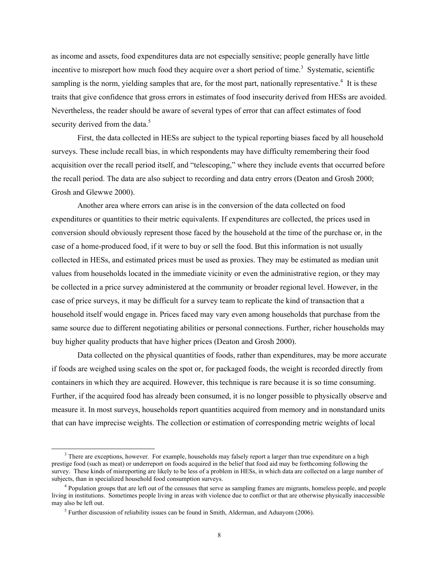as income and assets, food expenditures data are not especially sensitive; people generally have little incentive to misreport how much food they acquire over a short period of time.<sup>3</sup> Systematic, scientific sampling is the norm, yielding samples that are, for the most part, nationally representative.<sup>4</sup> It is these traits that give confidence that gross errors in estimates of food insecurity derived from HESs are avoided. Nevertheless, the reader should be aware of several types of error that can affect estimates of food security derived from the data.<sup>5</sup>

First, the data collected in HESs are subject to the typical reporting biases faced by all household surveys. These include recall bias, in which respondents may have difficulty remembering their food acquisition over the recall period itself, and "telescoping," where they include events that occurred before the recall period. The data are also subject to recording and data entry errors (Deaton and Grosh 2000; Grosh and Glewwe 2000).

Another area where errors can arise is in the conversion of the data collected on food expenditures or quantities to their metric equivalents. If expenditures are collected, the prices used in conversion should obviously represent those faced by the household at the time of the purchase or, in the case of a home-produced food, if it were to buy or sell the food. But this information is not usually collected in HESs, and estimated prices must be used as proxies. They may be estimated as median unit values from households located in the immediate vicinity or even the administrative region, or they may be collected in a price survey administered at the community or broader regional level. However, in the case of price surveys, it may be difficult for a survey team to replicate the kind of transaction that a household itself would engage in. Prices faced may vary even among households that purchase from the same source due to different negotiating abilities or personal connections. Further, richer households may buy higher quality products that have higher prices (Deaton and Grosh 2000).

Data collected on the physical quantities of foods, rather than expenditures, may be more accurate if foods are weighed using scales on the spot or, for packaged foods, the weight is recorded directly from containers in which they are acquired. However, this technique is rare because it is so time consuming. Further, if the acquired food has already been consumed, it is no longer possible to physically observe and measure it. In most surveys, households report quantities acquired from memory and in nonstandard units that can have imprecise weights. The collection or estimation of corresponding metric weights of local

 $\frac{1}{3}$ <sup>3</sup> There are exceptions, however. For example, households may falsely report a larger than true expenditure on a high prestige food (such as meat) or underreport on foods acquired in the belief that food aid may be forthcoming following the survey. These kinds of misreporting are likely to be less of a problem in HESs, in which data are collected on a large number of subjects, than in specialized household food consumption surveys.

<sup>&</sup>lt;sup>4</sup> Population groups that are left out of the censuses that serve as sampling frames are migrants, homeless people, and people living in institutions. Sometimes people living in areas with violence due to conflict or that are otherwise physically inaccessible may also be left out.

 $<sup>5</sup>$  Further discussion of reliability issues can be found in Smith, Alderman, and Aduayom (2006).</sup>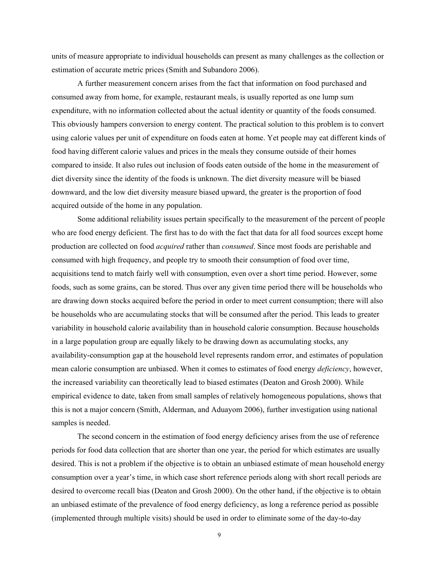units of measure appropriate to individual households can present as many challenges as the collection or estimation of accurate metric prices (Smith and Subandoro 2006).

A further measurement concern arises from the fact that information on food purchased and consumed away from home, for example, restaurant meals, is usually reported as one lump sum expenditure, with no information collected about the actual identity or quantity of the foods consumed. This obviously hampers conversion to energy content. The practical solution to this problem is to convert using calorie values per unit of expenditure on foods eaten at home. Yet people may eat different kinds of food having different calorie values and prices in the meals they consume outside of their homes compared to inside. It also rules out inclusion of foods eaten outside of the home in the measurement of diet diversity since the identity of the foods is unknown. The diet diversity measure will be biased downward, and the low diet diversity measure biased upward, the greater is the proportion of food acquired outside of the home in any population.

Some additional reliability issues pertain specifically to the measurement of the percent of people who are food energy deficient. The first has to do with the fact that data for all food sources except home production are collected on food *acquired* rather than *consumed*. Since most foods are perishable and consumed with high frequency, and people try to smooth their consumption of food over time, acquisitions tend to match fairly well with consumption, even over a short time period. However, some foods, such as some grains, can be stored. Thus over any given time period there will be households who are drawing down stocks acquired before the period in order to meet current consumption; there will also be households who are accumulating stocks that will be consumed after the period. This leads to greater variability in household calorie availability than in household calorie consumption. Because households in a large population group are equally likely to be drawing down as accumulating stocks, any availability-consumption gap at the household level represents random error, and estimates of population mean calorie consumption are unbiased. When it comes to estimates of food energy *deficiency*, however, the increased variability can theoretically lead to biased estimates (Deaton and Grosh 2000). While empirical evidence to date, taken from small samples of relatively homogeneous populations, shows that this is not a major concern (Smith, Alderman, and Aduayom 2006), further investigation using national samples is needed.

The second concern in the estimation of food energy deficiency arises from the use of reference periods for food data collection that are shorter than one year, the period for which estimates are usually desired. This is not a problem if the objective is to obtain an unbiased estimate of mean household energy consumption over a year's time, in which case short reference periods along with short recall periods are desired to overcome recall bias (Deaton and Grosh 2000). On the other hand, if the objective is to obtain an unbiased estimate of the prevalence of food energy deficiency, as long a reference period as possible (implemented through multiple visits) should be used in order to eliminate some of the day-to-day

9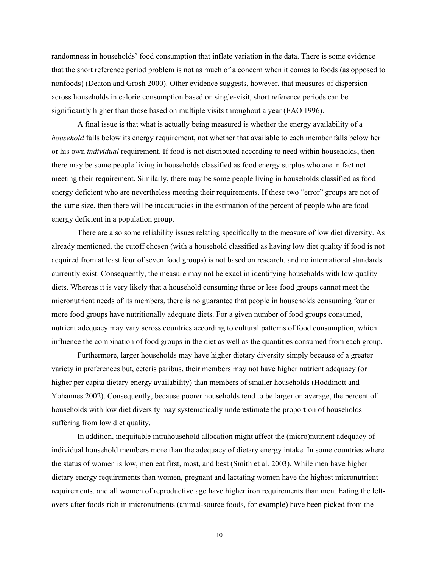randomness in households' food consumption that inflate variation in the data. There is some evidence that the short reference period problem is not as much of a concern when it comes to foods (as opposed to nonfoods) (Deaton and Grosh 2000). Other evidence suggests, however, that measures of dispersion across households in calorie consumption based on single-visit, short reference periods can be significantly higher than those based on multiple visits throughout a year (FAO 1996).

A final issue is that what is actually being measured is whether the energy availability of a *household* falls below its energy requirement, not whether that available to each member falls below her or his own *individual* requirement. If food is not distributed according to need within households, then there may be some people living in households classified as food energy surplus who are in fact not meeting their requirement. Similarly, there may be some people living in households classified as food energy deficient who are nevertheless meeting their requirements. If these two "error" groups are not of the same size, then there will be inaccuracies in the estimation of the percent of people who are food energy deficient in a population group.

There are also some reliability issues relating specifically to the measure of low diet diversity. As already mentioned, the cutoff chosen (with a household classified as having low diet quality if food is not acquired from at least four of seven food groups) is not based on research, and no international standards currently exist. Consequently, the measure may not be exact in identifying households with low quality diets. Whereas it is very likely that a household consuming three or less food groups cannot meet the micronutrient needs of its members, there is no guarantee that people in households consuming four or more food groups have nutritionally adequate diets. For a given number of food groups consumed, nutrient adequacy may vary across countries according to cultural patterns of food consumption, which influence the combination of food groups in the diet as well as the quantities consumed from each group.

Furthermore, larger households may have higher dietary diversity simply because of a greater variety in preferences but, ceteris paribus, their members may not have higher nutrient adequacy (or higher per capita dietary energy availability) than members of smaller households (Hoddinott and Yohannes 2002). Consequently, because poorer households tend to be larger on average, the percent of households with low diet diversity may systematically underestimate the proportion of households suffering from low diet quality.

In addition, inequitable intrahousehold allocation might affect the (micro)nutrient adequacy of individual household members more than the adequacy of dietary energy intake. In some countries where the status of women is low, men eat first, most, and best (Smith et al. 2003). While men have higher dietary energy requirements than women, pregnant and lactating women have the highest micronutrient requirements, and all women of reproductive age have higher iron requirements than men. Eating the leftovers after foods rich in micronutrients (animal-source foods, for example) have been picked from the

10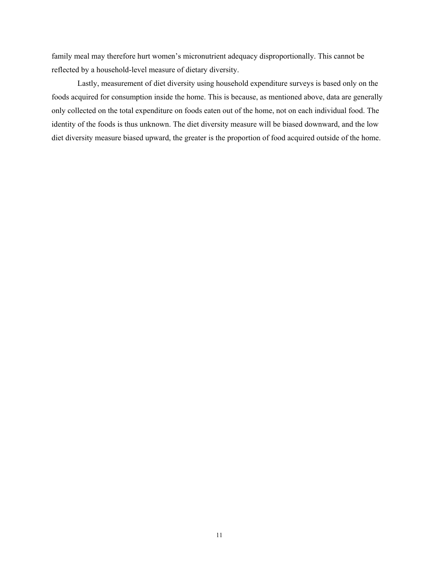family meal may therefore hurt women's micronutrient adequacy disproportionally. This cannot be reflected by a household-level measure of dietary diversity.

Lastly, measurement of diet diversity using household expenditure surveys is based only on the foods acquired for consumption inside the home. This is because, as mentioned above, data are generally only collected on the total expenditure on foods eaten out of the home, not on each individual food. The identity of the foods is thus unknown. The diet diversity measure will be biased downward, and the low diet diversity measure biased upward, the greater is the proportion of food acquired outside of the home.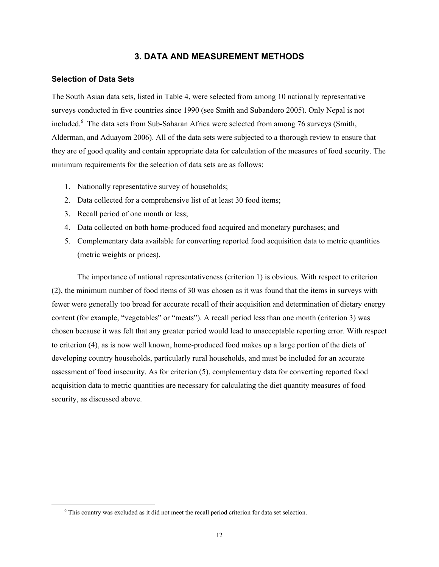## **3. DATA AND MEASUREMENT METHODS**

#### **Selection of Data Sets**

The South Asian data sets, listed in Table 4, were selected from among 10 nationally representative surveys conducted in five countries since 1990 (see Smith and Subandoro 2005). Only Nepal is not included.<sup>6</sup> The data sets from Sub-Saharan Africa were selected from among 76 surveys (Smith, Alderman, and Aduayom 2006). All of the data sets were subjected to a thorough review to ensure that they are of good quality and contain appropriate data for calculation of the measures of food security. The minimum requirements for the selection of data sets are as follows:

- 1. Nationally representative survey of households;
- 2. Data collected for a comprehensive list of at least 30 food items;
- 3. Recall period of one month or less;
- 4. Data collected on both home-produced food acquired and monetary purchases; and
- 5. Complementary data available for converting reported food acquisition data to metric quantities (metric weights or prices).

The importance of national representativeness (criterion 1) is obvious. With respect to criterion (2), the minimum number of food items of 30 was chosen as it was found that the items in surveys with fewer were generally too broad for accurate recall of their acquisition and determination of dietary energy content (for example, "vegetables" or "meats"). A recall period less than one month (criterion 3) was chosen because it was felt that any greater period would lead to unacceptable reporting error. With respect to criterion (4), as is now well known, home-produced food makes up a large portion of the diets of developing country households, particularly rural households, and must be included for an accurate assessment of food insecurity. As for criterion (5), complementary data for converting reported food acquisition data to metric quantities are necessary for calculating the diet quantity measures of food security, as discussed above.

 $\overline{\phantom{0}}$ This country was excluded as it did not meet the recall period criterion for data set selection.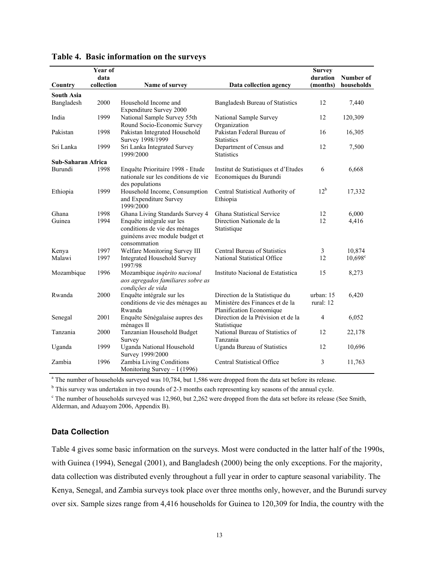| Country                         | Year of<br>data<br>collection | Name of survey                                                                                               | Data collection agency                                                                        | <b>Survey</b><br>duration<br>(months) | Number of<br>households |
|---------------------------------|-------------------------------|--------------------------------------------------------------------------------------------------------------|-----------------------------------------------------------------------------------------------|---------------------------------------|-------------------------|
|                                 |                               |                                                                                                              |                                                                                               |                                       |                         |
| <b>South Asia</b><br>Bangladesh | 2000                          | Household Income and<br><b>Expenditure Survey 2000</b>                                                       | Bangladesh Bureau of Statistics                                                               | 12                                    | 7,440                   |
| India                           | 1999                          | National Sample Survey 55th<br>Round Socio-Economic Survey                                                   | National Sample Survey<br>Organization                                                        | 12                                    | 120,309                 |
| Pakistan                        | 1998                          | Pakistan Integrated Household<br>Survey 1998/1999                                                            | Pakistan Federal Bureau of<br><b>Statistics</b>                                               | 16                                    | 16,305                  |
| Sri Lanka                       | 1999                          | Sri Lanka Integrated Survey<br>1999/2000                                                                     | Department of Census and<br><b>Statistics</b>                                                 | 12                                    | 7,500                   |
| Sub-Saharan Africa              |                               |                                                                                                              |                                                                                               |                                       |                         |
| Burundi                         | 1998                          | Enquête Prioritaire 1998 - Etude<br>nationale sur les conditions de vie<br>des populations                   | Institut de Statistiques et d'Etudes<br>Economiques du Burundi                                | 6                                     | 6,668                   |
| Ethiopia                        | 1999                          | Household Income, Consumption<br>and Expenditure Survey<br>1999/2000                                         | Central Statistical Authority of<br>Ethiopia                                                  | $12^{\rm b}$                          | 17,332                  |
| Ghana                           | 1998                          | Ghana Living Standards Survey 4                                                                              | Ghana Statistical Service                                                                     | 12                                    | 6,000                   |
| Guinea                          | 1994                          | Enquête intégrale sur les<br>conditions de vie des ménages<br>guinéens avec module budget et<br>consommation | Direction Nationale de la<br>Statistique                                                      | 12                                    | 4,416                   |
| Kenya                           | 1997                          | Welfare Monitoring Survey III                                                                                | Central Bureau of Statistics                                                                  | 3                                     | 10,874                  |
| Malawi                          | 1997                          | <b>Integrated Household Survey</b><br>1997/98                                                                | National Statistical Office                                                                   | 12                                    | $10,698^{\circ}$        |
| Mozambique                      | 1996                          | Mozambique inqérito nacional<br>aos agregados familiares sobre as<br>condições de vida                       | Instituto Nacional de Estatística                                                             | 15                                    | 8,273                   |
| Rwanda                          | 2000                          | Enquête intégrale sur les<br>conditions de vie des ménages au<br>Rwanda                                      | Direction de la Statistique du<br>Ministère des Finances et de la<br>Planification Economique | urban: 15<br>rural: 12                | 6,420                   |
| Senegal                         | 2001                          | Enquête Sénégalaise aupres des<br>ménages II                                                                 | Direction de la Prévision et de la<br>Statistique                                             | $\overline{4}$                        | 6,052                   |
| Tanzania                        | 2000                          | Tanzanian Household Budget<br>Survey                                                                         | National Bureau of Statistics of<br>Tanzania                                                  | 12                                    | 22,178                  |
| Uganda                          | 1999                          | Uganda National Household<br>Survey 1999/2000                                                                | <b>Uganda Bureau of Statistics</b>                                                            | 12                                    | 10,696                  |
| Zambia                          | 1996                          | Zambia Living Conditions<br>Monitoring Survey $-1(1996)$                                                     | Central Statistical Office                                                                    | 3                                     | 11,763                  |

#### **Table 4. Basic information on the surveys**

<sup>a</sup> The number of households surveyed was 10,784, but 1,586 were dropped from the data set before its release.

<sup>b</sup> This survey was undertaken in two rounds of 2-3 months each representing key seasons of the annual cycle.

 $c$  The number of households surveyed was 12,960, but 2,262 were dropped from the data set before its release (See Smith, Alderman, and Aduayom 2006, Appendix B).

#### **Data Collection**

Table 4 gives some basic information on the surveys. Most were conducted in the latter half of the 1990s, with Guinea (1994), Senegal (2001), and Bangladesh (2000) being the only exceptions. For the majority, data collection was distributed evenly throughout a full year in order to capture seasonal variability. The Kenya, Senegal, and Zambia surveys took place over three months only, however, and the Burundi survey over six. Sample sizes range from 4,416 households for Guinea to 120,309 for India, the country with the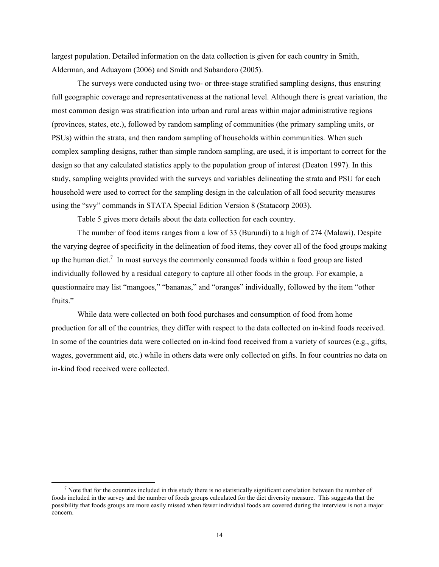largest population. Detailed information on the data collection is given for each country in Smith, Alderman, and Aduayom (2006) and Smith and Subandoro (2005).

The surveys were conducted using two- or three-stage stratified sampling designs, thus ensuring full geographic coverage and representativeness at the national level. Although there is great variation, the most common design was stratification into urban and rural areas within major administrative regions (provinces, states, etc.), followed by random sampling of communities (the primary sampling units, or PSUs) within the strata, and then random sampling of households within communities. When such complex sampling designs, rather than simple random sampling, are used, it is important to correct for the design so that any calculated statistics apply to the population group of interest (Deaton 1997). In this study, sampling weights provided with the surveys and variables delineating the strata and PSU for each household were used to correct for the sampling design in the calculation of all food security measures using the "svy" commands in STATA Special Edition Version 8 (Statacorp 2003).

Table 5 gives more details about the data collection for each country.

The number of food items ranges from a low of 33 (Burundi) to a high of 274 (Malawi). Despite the varying degree of specificity in the delineation of food items, they cover all of the food groups making up the human diet.<sup>7</sup> In most surveys the commonly consumed foods within a food group are listed individually followed by a residual category to capture all other foods in the group. For example, a questionnaire may list "mangoes," "bananas," and "oranges" individually, followed by the item "other fruits."

While data were collected on both food purchases and consumption of food from home production for all of the countries, they differ with respect to the data collected on in-kind foods received. In some of the countries data were collected on in-kind food received from a variety of sources (e.g., gifts, wages, government aid, etc.) while in others data were only collected on gifts. In four countries no data on in-kind food received were collected.

 $\frac{1}{7}$ <sup>7</sup> Note that for the countries included in this study there is no statistically significant correlation between the number of foods included in the survey and the number of foods groups calculated for the diet diversity measure. This suggests that the possibility that foods groups are more easily missed when fewer individual foods are covered during the interview is not a major concern.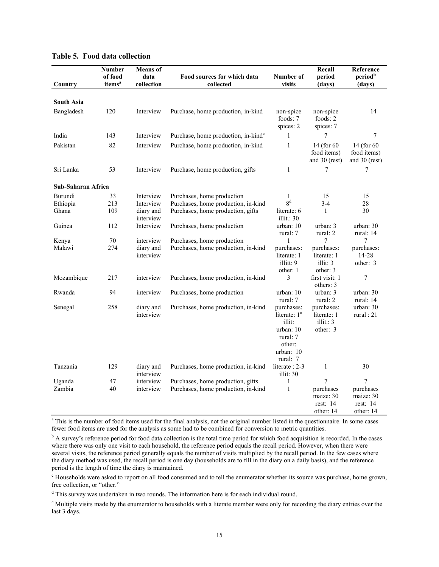| Country            | Number<br>of food<br>items <sup>a</sup> | <b>Means</b> of<br>data<br>collection | Food sources for which data<br>collected        | Number of<br>visits                | Recall<br>period<br>(days)                  | Reference<br>period <sup>b</sup><br>(days)  |
|--------------------|-----------------------------------------|---------------------------------------|-------------------------------------------------|------------------------------------|---------------------------------------------|---------------------------------------------|
|                    |                                         |                                       |                                                 |                                    |                                             |                                             |
| <b>South Asia</b>  |                                         |                                       |                                                 |                                    |                                             |                                             |
| Bangladesh         | 120                                     | Interview                             | Purchase, home production, in-kind              | non-spice<br>foods: 7<br>spices: 2 | non-spice<br>foods: $2$<br>spices: 7        | 14                                          |
| India              | 143                                     | Interview                             | Purchase, home production, in-kind <sup>c</sup> | $\mathbf{1}$                       | 7                                           | 7                                           |
| Pakistan           | 82                                      | Interview                             | Purchase, home production, in-kind              | $\mathbf{1}$                       | 14 (for 60)<br>food items)<br>and 30 (rest) | 14 (for 60)<br>food items)<br>and 30 (rest) |
| Sri Lanka          | 53                                      | Interview                             | Purchase, home production, gifts                | $\mathbf{1}$                       | 7                                           | 7                                           |
| Sub-Saharan Africa |                                         |                                       |                                                 |                                    |                                             |                                             |
| Burundi            | 33                                      | Interview                             | Purchases, home production                      | 1                                  | 15                                          | 15                                          |
| Ethiopia           | 213                                     | Interview                             | Purchases, home production, in-kind             | 8 <sup>d</sup>                     | $3 - 4$                                     | 28                                          |
| Ghana              | 109                                     | diary and<br>interview                | Purchases, home production, gifts               | literate: 6<br>illit.: $30$        | $\mathbf{1}$                                | 30                                          |
| Guinea             | 112                                     | Interview                             | Purchases, home production                      | urban: 10                          | urban: 3                                    | urban: 30                                   |
|                    |                                         |                                       |                                                 | rural: 7                           | rural: 2                                    | rural: 14                                   |
| Kenya              | 70                                      | interview                             | Purchases, home production                      | 1                                  | 7                                           | 7                                           |
| Malawi             | 274                                     | diary and                             | Purchases, home production, in-kind             | purchases:                         | purchases:                                  | purchases:                                  |
|                    |                                         | interview                             |                                                 | literate: 1                        | literate: 1                                 | 14-28                                       |
|                    |                                         |                                       |                                                 | illitt: 9                          | illit: 3                                    | other: 3                                    |
|                    |                                         |                                       |                                                 | other: 1                           | other: 3                                    |                                             |
| Mozambique         | 217                                     | interview                             | Purchases, home production, in-kind             | 3                                  | first visit: 1<br>others: 3                 | $\tau$                                      |
| Rwanda             | 94                                      | interview                             | Purchases, home production                      | urban: 10                          | urban: 3                                    | urban: 30                                   |
|                    |                                         |                                       |                                                 | rural: 7                           | rural: 2                                    | rural: 14                                   |
| Senegal            | 258                                     | diary and                             | Purchases, home production, in-kind             | purchases:                         | purchases:                                  | urban: 30                                   |
|                    |                                         | interview                             |                                                 | literate: 1 <sup>e</sup>           | literate: 1                                 | rural : $21$                                |
|                    |                                         |                                       |                                                 | illit:                             | illit.: $3$                                 |                                             |
|                    |                                         |                                       |                                                 | urban: 10                          | other: 3                                    |                                             |
|                    |                                         |                                       |                                                 | rural: 7                           |                                             |                                             |
|                    |                                         |                                       |                                                 | other:                             |                                             |                                             |
|                    |                                         |                                       |                                                 | urban: 10                          |                                             |                                             |
|                    |                                         |                                       |                                                 | rural: 7                           |                                             |                                             |
| Tanzania           | 129                                     | diary and<br>interview                | Purchases, home production, in-kind             | literate: 2-3<br>illit: $30$       | $\mathbf{1}$                                | 30                                          |
| Uganda             | 47                                      | interview                             | Purchases, home production, gifts               | $\mathbf{1}$                       | 7                                           | 7                                           |
| Zambia             | 40                                      | interview                             | Purchases, home production, in-kind             | $\mathbf{1}$                       | purchases                                   | purchases                                   |
|                    |                                         |                                       |                                                 |                                    | maize: 30                                   | maize: 30                                   |
|                    |                                         |                                       |                                                 |                                    | rest: $14$                                  | rest: $14$                                  |
|                    |                                         |                                       |                                                 |                                    | other: 14                                   | other: 14                                   |

#### **Table 5. Food data collection**

<sup>a</sup> This is the number of food items used for the final analysis, not the original number listed in the questionnaire. In some cases fewer food items are used for the analysis as some had to be combined for conversion to metric quantities.

<sup>b</sup> A survey's reference period for food data collection is the total time period for which food acquisition is recorded. In the cases where there was only one visit to each household, the reference period equals the recall period. However, when there were several visits, the reference period generally equals the number of visits multiplied by the recall period. In the few cases where the diary method was used, the recall period is one day (households are to fill in the diary on a daily basis), and the reference period is the length of time the diary is maintained.

<sup>c</sup> Households were asked to report on all food consumed and to tell the enumerator whether its source was purchase, home grown, free collection, or "other."

<sup>d</sup> This survey was undertaken in two rounds. The information here is for each individual round.

<sup>e</sup> Multiple visits made by the enumerator to households with a literate member were only for recording the diary entries over the last 3 days.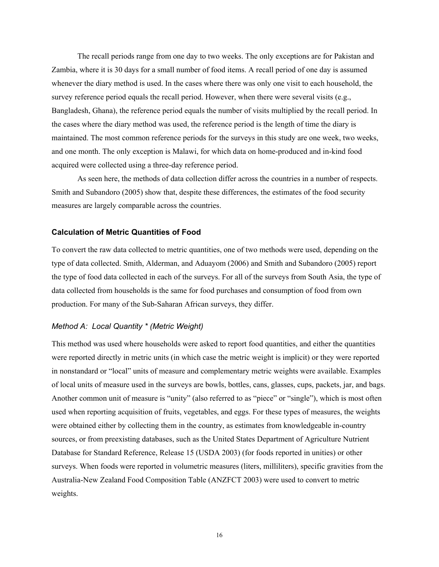The recall periods range from one day to two weeks. The only exceptions are for Pakistan and Zambia, where it is 30 days for a small number of food items. A recall period of one day is assumed whenever the diary method is used. In the cases where there was only one visit to each household, the survey reference period equals the recall period. However, when there were several visits (e.g., Bangladesh, Ghana), the reference period equals the number of visits multiplied by the recall period. In the cases where the diary method was used, the reference period is the length of time the diary is maintained. The most common reference periods for the surveys in this study are one week, two weeks, and one month. The only exception is Malawi, for which data on home-produced and in-kind food acquired were collected using a three-day reference period.

As seen here, the methods of data collection differ across the countries in a number of respects. Smith and Subandoro (2005) show that, despite these differences, the estimates of the food security measures are largely comparable across the countries.

#### **Calculation of Metric Quantities of Food**

To convert the raw data collected to metric quantities, one of two methods were used, depending on the type of data collected. Smith, Alderman, and Aduayom (2006) and Smith and Subandoro (2005) report the type of food data collected in each of the surveys. For all of the surveys from South Asia, the type of data collected from households is the same for food purchases and consumption of food from own production. For many of the Sub-Saharan African surveys, they differ.

#### *Method A: Local Quantity \* (Metric Weight)*

This method was used where households were asked to report food quantities, and either the quantities were reported directly in metric units (in which case the metric weight is implicit) or they were reported in nonstandard or "local" units of measure and complementary metric weights were available. Examples of local units of measure used in the surveys are bowls, bottles, cans, glasses, cups, packets, jar, and bags. Another common unit of measure is "unity" (also referred to as "piece" or "single"), which is most often used when reporting acquisition of fruits, vegetables, and eggs. For these types of measures, the weights were obtained either by collecting them in the country, as estimates from knowledgeable in-country sources, or from preexisting databases, such as the United States Department of Agriculture Nutrient Database for Standard Reference, Release 15 (USDA 2003) (for foods reported in unities) or other surveys. When foods were reported in volumetric measures (liters, milliliters), specific gravities from the Australia-New Zealand Food Composition Table (ANZFCT 2003) were used to convert to metric weights.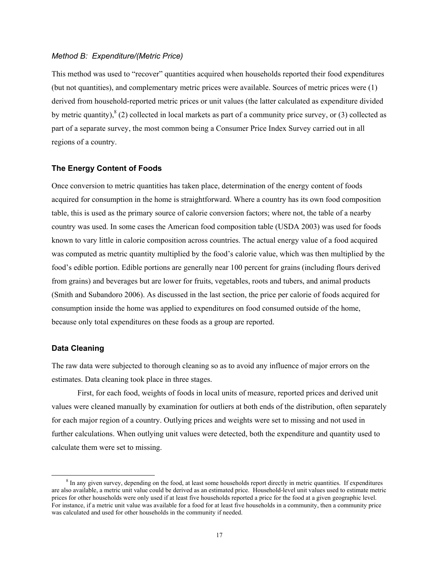#### *Method B: Expenditure/(Metric Price)*

This method was used to "recover" quantities acquired when households reported their food expenditures (but not quantities), and complementary metric prices were available. Sources of metric prices were (1) derived from household-reported metric prices or unit values (the latter calculated as expenditure divided by metric quantity),  $^{8}$  (2) collected in local markets as part of a community price survey, or (3) collected as part of a separate survey, the most common being a Consumer Price Index Survey carried out in all regions of a country.

#### **The Energy Content of Foods**

Once conversion to metric quantities has taken place, determination of the energy content of foods acquired for consumption in the home is straightforward. Where a country has its own food composition table, this is used as the primary source of calorie conversion factors; where not, the table of a nearby country was used. In some cases the American food composition table (USDA 2003) was used for foods known to vary little in calorie composition across countries. The actual energy value of a food acquired was computed as metric quantity multiplied by the food's calorie value, which was then multiplied by the food's edible portion. Edible portions are generally near 100 percent for grains (including flours derived from grains) and beverages but are lower for fruits, vegetables, roots and tubers, and animal products (Smith and Subandoro 2006). As discussed in the last section, the price per calorie of foods acquired for consumption inside the home was applied to expenditures on food consumed outside of the home, because only total expenditures on these foods as a group are reported.

#### **Data Cleaning**

The raw data were subjected to thorough cleaning so as to avoid any influence of major errors on the estimates. Data cleaning took place in three stages.

First, for each food, weights of foods in local units of measure, reported prices and derived unit values were cleaned manually by examination for outliers at both ends of the distribution, often separately for each major region of a country. Outlying prices and weights were set to missing and not used in further calculations. When outlying unit values were detected, both the expenditure and quantity used to calculate them were set to missing.

 <sup>8</sup> <sup>8</sup> In any given survey, depending on the food, at least some households report directly in metric quantities. If expenditures are also available, a metric unit value could be derived as an estimated price. Household-level unit values used to estimate metric prices for other households were only used if at least five households reported a price for the food at a given geographic level. For instance, if a metric unit value was available for a food for at least five households in a community, then a community price was calculated and used for other households in the community if needed.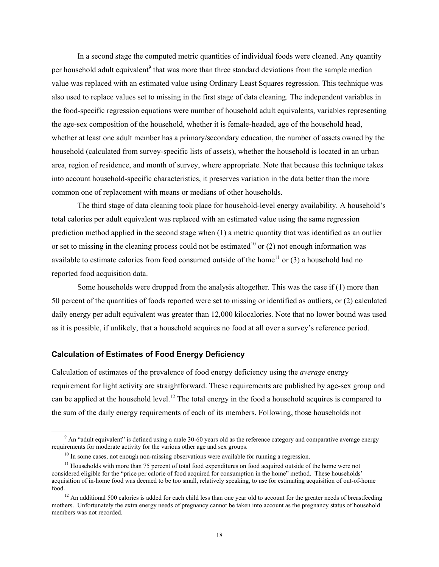In a second stage the computed metric quantities of individual foods were cleaned. Any quantity per household adult equivalent<sup>9</sup> that was more than three standard deviations from the sample median value was replaced with an estimated value using Ordinary Least Squares regression. This technique was also used to replace values set to missing in the first stage of data cleaning. The independent variables in the food-specific regression equations were number of household adult equivalents, variables representing the age-sex composition of the household, whether it is female-headed, age of the household head, whether at least one adult member has a primary/secondary education, the number of assets owned by the household (calculated from survey-specific lists of assets), whether the household is located in an urban area, region of residence, and month of survey, where appropriate. Note that because this technique takes into account household-specific characteristics, it preserves variation in the data better than the more common one of replacement with means or medians of other households.

The third stage of data cleaning took place for household-level energy availability. A household's total calories per adult equivalent was replaced with an estimated value using the same regression prediction method applied in the second stage when (1) a metric quantity that was identified as an outlier or set to missing in the cleaning process could not be estimated<sup>10</sup> or (2) not enough information was available to estimate calories from food consumed outside of the home<sup>11</sup> or  $(3)$  a household had no reported food acquisition data.

Some households were dropped from the analysis altogether. This was the case if (1) more than 50 percent of the quantities of foods reported were set to missing or identified as outliers, or (2) calculated daily energy per adult equivalent was greater than 12,000 kilocalories. Note that no lower bound was used as it is possible, if unlikely, that a household acquires no food at all over a survey's reference period.

### **Calculation of Estimates of Food Energy Deficiency**

Calculation of estimates of the prevalence of food energy deficiency using the *average* energy requirement for light activity are straightforward. These requirements are published by age-sex group and can be applied at the household level.<sup>12</sup> The total energy in the food a household acquires is compared to the sum of the daily energy requirements of each of its members. Following, those households not

 $\frac{1}{9}$  $\mu$ <sup>9</sup> An "adult equivalent" is defined using a male 30-60 years old as the reference category and comparative average energy requirements for moderate activity for the various other age and sex groups.

 $10$  In some cases, not enough non-missing observations were available for running a regression.

 $<sup>11</sup>$  Households with more than 75 percent of total food expenditures on food acquired outside of the home were not</sup> considered eligible for the "price per calorie of food acquired for consumption in the home" method. These households' acquisition of in-home food was deemed to be too small, relatively speaking, to use for estimating acquisition of out-of-home food.

 $12$  An additional 500 calories is added for each child less than one year old to account for the greater needs of breastfeeding mothers. Unfortunately the extra energy needs of pregnancy cannot be taken into account as the pregnancy status of household members was not recorded.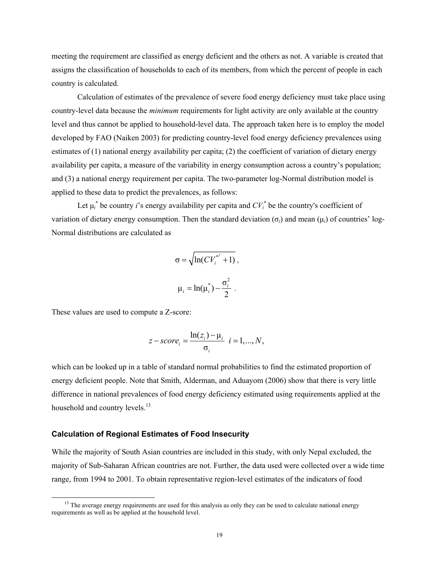meeting the requirement are classified as energy deficient and the others as not. A variable is created that assigns the classification of households to each of its members, from which the percent of people in each country is calculated.

Calculation of estimates of the prevalence of severe food energy deficiency must take place using country-level data because the *minimum* requirements for light activity are only available at the country level and thus cannot be applied to household-level data. The approach taken here is to employ the model developed by FAO (Naiken 2003) for predicting country-level food energy deficiency prevalences using estimates of (1) national energy availability per capita; (2) the coefficient of variation of dietary energy availability per capita, a measure of the variability in energy consumption across a country's population; and (3) a national energy requirement per capita. The two-parameter log-Normal distribution model is applied to these data to predict the prevalences, as follows:

Let  $\mu_i^*$  be country *i*'s energy availability per capita and  $CV_i^*$  be the country's coefficient of variation of dietary energy consumption. Then the standard deviation (σ*i*) and mean (μ*i*) of countries' log-Normal distributions are calculated as

$$
\sigma = \sqrt{\ln(CV_i^{*^2} + 1)},
$$
  

$$
\mu_i = \ln(\mu_i^*) - \frac{\sigma_i^2}{2}.
$$

These values are used to compute a Z-score:

$$
z-score_i = \frac{\ln(z_i) - \mu_i}{\sigma_i} \quad i = 1, ..., N,
$$

which can be looked up in a table of standard normal probabilities to find the estimated proportion of energy deficient people. Note that Smith, Alderman, and Aduayom (2006) show that there is very little difference in national prevalences of food energy deficiency estimated using requirements applied at the household and country levels.<sup>13</sup>

#### **Calculation of Regional Estimates of Food Insecurity**

While the majority of South Asian countries are included in this study, with only Nepal excluded, the majority of Sub-Saharan African countries are not. Further, the data used were collected over a wide time range, from 1994 to 2001. To obtain representative region-level estimates of the indicators of food

 $<sup>13</sup>$  The average energy requirements are used for this analysis as only they can be used to calculate national energy</sup> requirements as well as be applied at the household level.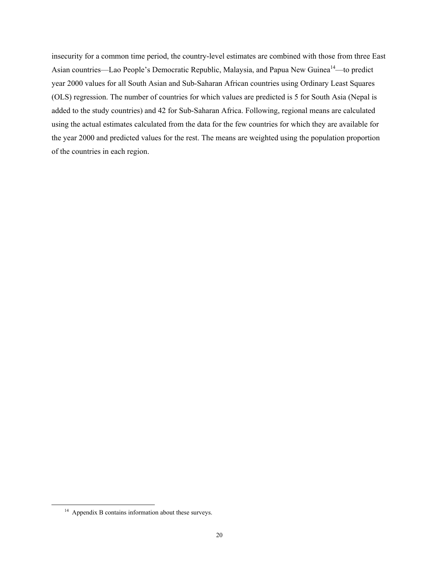insecurity for a common time period, the country-level estimates are combined with those from three East Asian countries—Lao People's Democratic Republic, Malaysia, and Papua New Guinea<sup>14</sup>—to predict year 2000 values for all South Asian and Sub-Saharan African countries using Ordinary Least Squares (OLS) regression. The number of countries for which values are predicted is 5 for South Asia (Nepal is added to the study countries) and 42 for Sub-Saharan Africa. Following, regional means are calculated using the actual estimates calculated from the data for the few countries for which they are available for the year 2000 and predicted values for the rest. The means are weighted using the population proportion of the countries in each region.

 <sup>14</sup> Appendix B contains information about these surveys.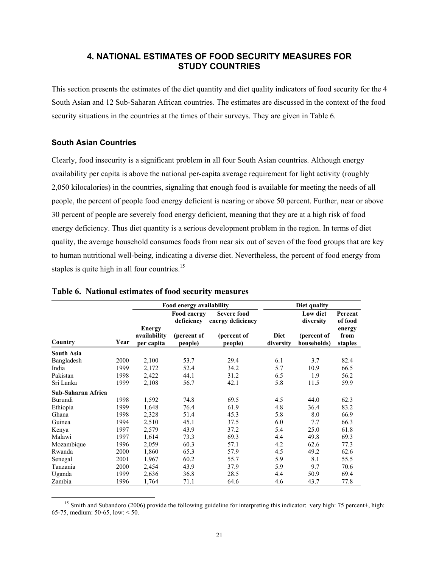## **4. NATIONAL ESTIMATES OF FOOD SECURITY MEASURES FOR STUDY COUNTRIES**

This section presents the estimates of the diet quantity and diet quality indicators of food security for the 4 South Asian and 12 Sub-Saharan African countries. The estimates are discussed in the context of the food security situations in the countries at the times of their surveys. They are given in Table 6.

## **South Asian Countries**

Clearly, food insecurity is a significant problem in all four South Asian countries. Although energy availability per capita is above the national per-capita average requirement for light activity (roughly 2,050 kilocalories) in the countries, signaling that enough food is available for meeting the needs of all people, the percent of people food energy deficient is nearing or above 50 percent. Further, near or above 30 percent of people are severely food energy deficient, meaning that they are at a high risk of food energy deficiency. Thus diet quantity is a serious development problem in the region. In terms of diet quality, the average household consumes foods from near six out of seven of the food groups that are key to human nutritional well-being, indicating a diverse diet. Nevertheless, the percent of food energy from staples is quite high in all four countries.<sup>15</sup>

|                    |      | Food energy availability             |                           | Diet quality                            |                          |                            |                           |
|--------------------|------|--------------------------------------|---------------------------|-----------------------------------------|--------------------------|----------------------------|---------------------------|
|                    |      |                                      | Food energy<br>deficiency | <b>Severe food</b><br>energy deficiency |                          | Low diet<br>diversity      | Percent<br>of food        |
| Country            | Year | Energy<br>availability<br>per capita | (percent of<br>people)    | (percent of<br>people)                  | <b>Diet</b><br>diversity | (percent of<br>households) | energy<br>from<br>staples |
| <b>South Asia</b>  |      |                                      |                           |                                         |                          |                            |                           |
| Bangladesh         | 2000 | 2,100                                | 53.7                      | 29.4                                    | 6.1                      | 3.7                        | 82.4                      |
| India              | 1999 | 2,172                                | 52.4                      | 34.2                                    | 5.7                      | 10.9                       | 66.5                      |
| Pakistan           | 1998 | 2,422                                | 44.1                      | 31.2                                    | 6.5                      | 1.9                        | 56.2                      |
| Sri Lanka          | 1999 | 2,108                                | 56.7                      | 42.1                                    | 5.8                      | 11.5                       | 59.9                      |
| Sub-Saharan Africa |      |                                      |                           |                                         |                          |                            |                           |
| Burundi            | 1998 | 1,592                                | 74.8                      | 69.5                                    | 4.5                      | 44.0                       | 62.3                      |
| Ethiopia           | 1999 | 1,648                                | 76.4                      | 61.9                                    | 4.8                      | 36.4                       | 83.2                      |
| Ghana              | 1998 | 2,328                                | 51.4                      | 45.3                                    | 5.8                      | 8.0                        | 66.9                      |
| Guinea             | 1994 | 2,510                                | 45.1                      | 37.5                                    | 6.0                      | 7.7                        | 66.3                      |
| Kenya              | 1997 | 2,579                                | 43.9                      | 37.2                                    | 5.4                      | 25.0                       | 61.8                      |
| Malawi             | 1997 | 1,614                                | 73.3                      | 69.3                                    | 4.4                      | 49.8                       | 69.3                      |
| Mozambique         | 1996 | 2,059                                | 60.3                      | 57.1                                    | 4.2                      | 62.6                       | 77.3                      |
| Rwanda             | 2000 | 1,860                                | 65.3                      | 57.9                                    | 4.5                      | 49.2                       | 62.6                      |
| Senegal            | 2001 | 1,967                                | 60.2                      | 55.7                                    | 5.9                      | 8.1                        | 55.5                      |
| Tanzania           | 2000 | 2,454                                | 43.9                      | 37.9                                    | 5.9                      | 9.7                        | 70.6                      |
| Uganda             | 1999 | 2,636                                | 36.8                      | 28.5                                    | 4.4                      | 50.9                       | 69.4                      |
| Zambia             | 1996 | 1,764                                | 71.1                      | 64.6                                    | 4.6                      | 43.7                       | 77.8                      |

#### **Table 6. National estimates of food security measures**

<sup>&</sup>lt;sup>15</sup> Smith and Subandoro (2006) provide the following guideline for interpreting this indicator: very high: 75 percent+, high: 65-75, medium: 50-65, low: < 50.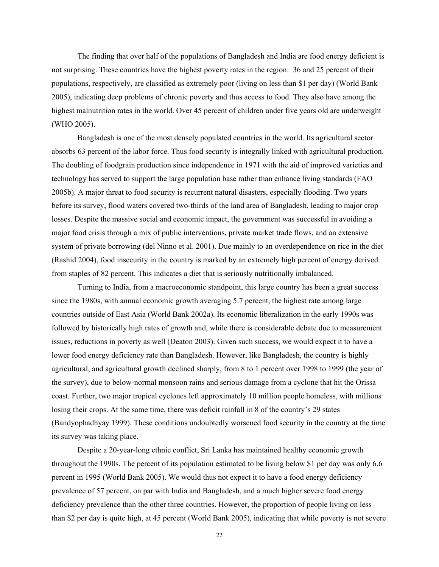The finding that over half of the populations of Bangladesh and India are food energy deficient is not surprising. These countries have the highest poverty rates in the region: 36 and 25 percent of their populations, respectively, are classified as extremely poor (living on less than \$1 per day) (World Bank 2005), indicating deep problems of chronic poverty and thus access to food. They also have among the highest malnutrition rates in the world. Over 45 percent of children under five years old are underweight (WHO 2005).

Bangladesh is one of the most densely populated countries in the world. Its agricultural sector absorbs 63 percent of the labor force. Thus food security is integrally linked with agricultural production. The doubling of foodgrain production since independence in 1971 with the aid of improved varieties and technology has served to support the large population base rather than enhance living standards (FAO 2005b). A major threat to food security is recurrent natural disasters, especially flooding. Two years before its survey, flood waters covered two-thirds of the land area of Bangladesh, leading to major crop losses. Despite the massive social and economic impact, the government was successful in avoiding a major food crisis through a mix of public interventions, private market trade flows, and an extensive system of private borrowing (del Ninno et al. 2001). Due mainly to an overdependence on rice in the diet (Rashid 2004), food insecurity in the country is marked by an extremely high percent of energy derived from staples of 82 percent. This indicates a diet that is seriously nutritionally imbalanced.

Turning to India, from a macroeconomic standpoint, this large country has been a great success since the 1980s, with annual economic growth averaging 5.7 percent, the highest rate among large countries outside of East Asia (World Bank 2002a). Its economic liberalization in the early 1990s was followed by historically high rates of growth and, while there is considerable debate due to measurement issues, reductions in poverty as well (Deaton 2003). Given such success, we would expect it to have a lower food energy deficiency rate than Bangladesh. However, like Bangladesh, the country is highly agricultural, and agricultural growth declined sharply, from 8 to 1 percent over 1998 to 1999 (the year of the survey), due to below-normal monsoon rains and serious damage from a cyclone that hit the Orissa coast. Further, two major tropical cyclones left approximately 10 million people homeless, with millions losing their crops. At the same time, there was deficit rainfall in 8 of the country's 29 states (Bandyophadhyay 1999). These conditions undoubtedly worsened food security in the country at the time its survey was taking place.

Despite a 20-year-long ethnic conflict, Sri Lanka has maintained healthy economic growth throughout the 1990s. The percent of its population estimated to be living below \$1 per day was only 6.6 percent in 1995 (World Bank 2005). We would thus not expect it to have a food energy deficiency prevalence of 57 percent, on par with India and Bangladesh, and a much higher severe food energy deficiency prevalence than the other three countries. However, the proportion of people living on less than \$2 per day is quite high, at 45 percent (World Bank 2005), indicating that while poverty is not severe

22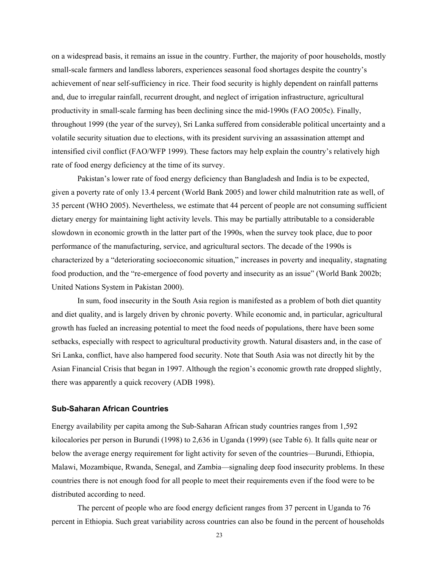on a widespread basis, it remains an issue in the country. Further, the majority of poor households, mostly small-scale farmers and landless laborers, experiences seasonal food shortages despite the country's achievement of near self-sufficiency in rice. Their food security is highly dependent on rainfall patterns and, due to irregular rainfall, recurrent drought, and neglect of irrigation infrastructure, agricultural productivity in small-scale farming has been declining since the mid-1990s (FAO 2005c). Finally, throughout 1999 (the year of the survey), Sri Lanka suffered from considerable political uncertainty and a volatile security situation due to elections, with its president surviving an assassination attempt and intensified civil conflict (FAO/WFP 1999). These factors may help explain the country's relatively high rate of food energy deficiency at the time of its survey.

Pakistan's lower rate of food energy deficiency than Bangladesh and India is to be expected, given a poverty rate of only 13.4 percent (World Bank 2005) and lower child malnutrition rate as well, of 35 percent (WHO 2005). Nevertheless, we estimate that 44 percent of people are not consuming sufficient dietary energy for maintaining light activity levels. This may be partially attributable to a considerable slowdown in economic growth in the latter part of the 1990s, when the survey took place, due to poor performance of the manufacturing, service, and agricultural sectors. The decade of the 1990s is characterized by a "deteriorating socioeconomic situation," increases in poverty and inequality, stagnating food production, and the "re-emergence of food poverty and insecurity as an issue" (World Bank 2002b; United Nations System in Pakistan 2000).

In sum, food insecurity in the South Asia region is manifested as a problem of both diet quantity and diet quality, and is largely driven by chronic poverty. While economic and, in particular, agricultural growth has fueled an increasing potential to meet the food needs of populations, there have been some setbacks, especially with respect to agricultural productivity growth. Natural disasters and, in the case of Sri Lanka, conflict, have also hampered food security. Note that South Asia was not directly hit by the Asian Financial Crisis that began in 1997. Although the region's economic growth rate dropped slightly, there was apparently a quick recovery (ADB 1998).

#### **Sub-Saharan African Countries**

Energy availability per capita among the Sub-Saharan African study countries ranges from 1,592 kilocalories per person in Burundi (1998) to 2,636 in Uganda (1999) (see Table 6). It falls quite near or below the average energy requirement for light activity for seven of the countries—Burundi, Ethiopia, Malawi, Mozambique, Rwanda, Senegal, and Zambia—signaling deep food insecurity problems. In these countries there is not enough food for all people to meet their requirements even if the food were to be distributed according to need.

The percent of people who are food energy deficient ranges from 37 percent in Uganda to 76 percent in Ethiopia. Such great variability across countries can also be found in the percent of households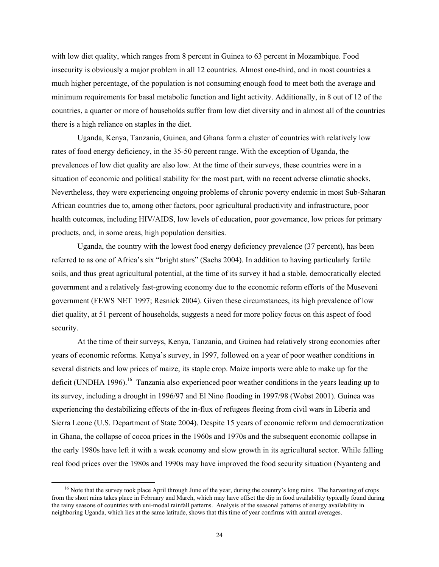with low diet quality, which ranges from 8 percent in Guinea to 63 percent in Mozambique. Food insecurity is obviously a major problem in all 12 countries. Almost one-third, and in most countries a much higher percentage, of the population is not consuming enough food to meet both the average and minimum requirements for basal metabolic function and light activity. Additionally, in 8 out of 12 of the countries, a quarter or more of households suffer from low diet diversity and in almost all of the countries there is a high reliance on staples in the diet.

Uganda, Kenya, Tanzania, Guinea, and Ghana form a cluster of countries with relatively low rates of food energy deficiency, in the 35-50 percent range. With the exception of Uganda, the prevalences of low diet quality are also low. At the time of their surveys, these countries were in a situation of economic and political stability for the most part, with no recent adverse climatic shocks. Nevertheless, they were experiencing ongoing problems of chronic poverty endemic in most Sub-Saharan African countries due to, among other factors, poor agricultural productivity and infrastructure, poor health outcomes, including HIV/AIDS, low levels of education, poor governance, low prices for primary products, and, in some areas, high population densities.

Uganda, the country with the lowest food energy deficiency prevalence (37 percent), has been referred to as one of Africa's six "bright stars" (Sachs 2004). In addition to having particularly fertile soils, and thus great agricultural potential, at the time of its survey it had a stable, democratically elected government and a relatively fast-growing economy due to the economic reform efforts of the Museveni government (FEWS NET 1997; Resnick 2004). Given these circumstances, its high prevalence of low diet quality, at 51 percent of households, suggests a need for more policy focus on this aspect of food security.

At the time of their surveys, Kenya, Tanzania, and Guinea had relatively strong economies after years of economic reforms. Kenya's survey, in 1997, followed on a year of poor weather conditions in several districts and low prices of maize, its staple crop. Maize imports were able to make up for the deficit (UNDHA 1996).<sup>16</sup> Tanzania also experienced poor weather conditions in the years leading up to its survey, including a drought in 1996/97 and El Nino flooding in 1997/98 (Wobst 2001). Guinea was experiencing the destabilizing effects of the in-flux of refugees fleeing from civil wars in Liberia and Sierra Leone (U.S. Department of State 2004). Despite 15 years of economic reform and democratization in Ghana, the collapse of cocoa prices in the 1960s and 1970s and the subsequent economic collapse in the early 1980s have left it with a weak economy and slow growth in its agricultural sector. While falling real food prices over the 1980s and 1990s may have improved the food security situation (Nyanteng and

 $16$  Note that the survey took place April through June of the year, during the country's long rains. The harvesting of crops from the short rains takes place in February and March, which may have offset the dip in food availability typically found during the rainy seasons of countries with uni-modal rainfall patterns. Analysis of the seasonal patterns of energy availability in neighboring Uganda, which lies at the same latitude, shows that this time of year confirms with annual averages.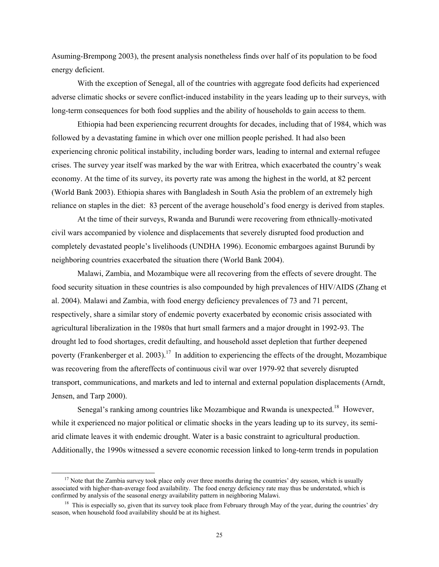Asuming-Brempong 2003), the present analysis nonetheless finds over half of its population to be food energy deficient.

With the exception of Senegal, all of the countries with aggregate food deficits had experienced adverse climatic shocks or severe conflict-induced instability in the years leading up to their surveys, with long-term consequences for both food supplies and the ability of households to gain access to them.

Ethiopia had been experiencing recurrent droughts for decades, including that of 1984, which was followed by a devastating famine in which over one million people perished. It had also been experiencing chronic political instability, including border wars, leading to internal and external refugee crises. The survey year itself was marked by the war with Eritrea, which exacerbated the country's weak economy. At the time of its survey, its poverty rate was among the highest in the world, at 82 percent (World Bank 2003). Ethiopia shares with Bangladesh in South Asia the problem of an extremely high reliance on staples in the diet: 83 percent of the average household's food energy is derived from staples.

At the time of their surveys, Rwanda and Burundi were recovering from ethnically-motivated civil wars accompanied by violence and displacements that severely disrupted food production and completely devastated people's livelihoods (UNDHA 1996). Economic embargoes against Burundi by neighboring countries exacerbated the situation there (World Bank 2004).

Malawi, Zambia, and Mozambique were all recovering from the effects of severe drought. The food security situation in these countries is also compounded by high prevalences of HIV/AIDS (Zhang et al. 2004). Malawi and Zambia, with food energy deficiency prevalences of 73 and 71 percent, respectively, share a similar story of endemic poverty exacerbated by economic crisis associated with agricultural liberalization in the 1980s that hurt small farmers and a major drought in 1992-93. The drought led to food shortages, credit defaulting, and household asset depletion that further deepened poverty (Frankenberger et al. 2003).<sup>17</sup> In addition to experiencing the effects of the drought, Mozambique was recovering from the aftereffects of continuous civil war over 1979-92 that severely disrupted transport, communications, and markets and led to internal and external population displacements (Arndt, Jensen, and Tarp 2000).

Senegal's ranking among countries like Mozambique and Rwanda is unexpected.<sup>18</sup> However, while it experienced no major political or climatic shocks in the years leading up to its survey, its semiarid climate leaves it with endemic drought. Water is a basic constraint to agricultural production. Additionally, the 1990s witnessed a severe economic recession linked to long-term trends in population

 $17$  Note that the Zambia survey took place only over three months during the countries' dry season, which is usually associated with higher-than-average food availability. The food energy deficiency rate may thus be understated, which is confirmed by analysis of the seasonal energy availability pattern in neighboring Malawi.

<sup>&</sup>lt;sup>18</sup> This is especially so, given that its survey took place from February through May of the year, during the countries' dry season, when household food availability should be at its highest.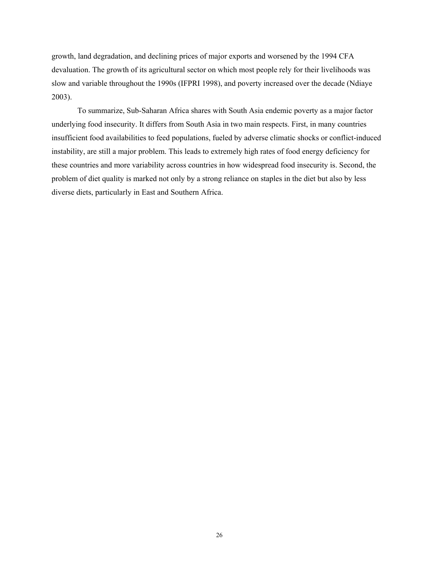growth, land degradation, and declining prices of major exports and worsened by the 1994 CFA devaluation. The growth of its agricultural sector on which most people rely for their livelihoods was slow and variable throughout the 1990s (IFPRI 1998), and poverty increased over the decade (Ndiaye 2003).

To summarize, Sub-Saharan Africa shares with South Asia endemic poverty as a major factor underlying food insecurity. It differs from South Asia in two main respects. First, in many countries insufficient food availabilities to feed populations, fueled by adverse climatic shocks or conflict-induced instability, are still a major problem. This leads to extremely high rates of food energy deficiency for these countries and more variability across countries in how widespread food insecurity is. Second, the problem of diet quality is marked not only by a strong reliance on staples in the diet but also by less diverse diets, particularly in East and Southern Africa.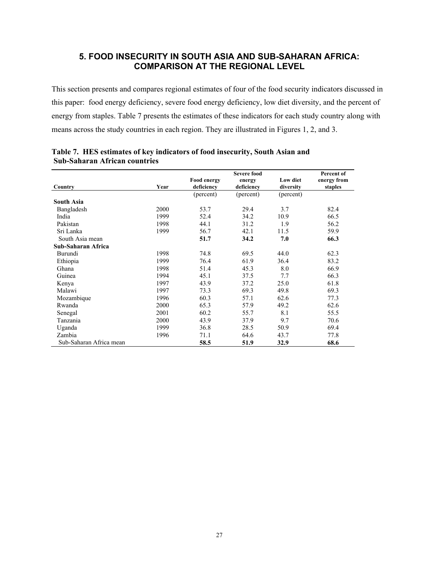## **5. FOOD INSECURITY IN SOUTH ASIA AND SUB-SAHARAN AFRICA: COMPARISON AT THE REGIONAL LEVEL**

This section presents and compares regional estimates of four of the food security indicators discussed in this paper: food energy deficiency, severe food energy deficiency, low diet diversity, and the percent of energy from staples. Table 7 presents the estimates of these indicators for each study country along with means across the study countries in each region. They are illustrated in Figures 1, 2, and 3.

|                         |      |                                  | <b>Severe food</b>   |                       | Percent of             |
|-------------------------|------|----------------------------------|----------------------|-----------------------|------------------------|
| Country                 | Year | <b>Food energy</b><br>deficiency | energy<br>deficiency | Low diet<br>diversity | energy from<br>staples |
|                         |      | (percent)                        | (percent)            | (percent)             |                        |
| <b>South Asia</b>       |      |                                  |                      |                       |                        |
| Bangladesh              | 2000 | 53.7                             | 29.4                 | 3.7                   | 82.4                   |
| India                   | 1999 | 52.4                             | 34.2                 | 10.9                  | 66.5                   |
| Pakistan                | 1998 | 44.1                             | 31.2                 | 1.9                   | 56.2                   |
| Sri Lanka               | 1999 | 56.7                             | 42.1                 | 11.5                  | 59.9                   |
| South Asia mean         |      | 51.7                             | 34.2                 | 7.0                   | 66.3                   |
| Sub-Saharan Africa      |      |                                  |                      |                       |                        |
| Burundi                 | 1998 | 74.8                             | 69.5                 | 44.0                  | 62.3                   |
| Ethiopia                | 1999 | 76.4                             | 61.9                 | 36.4                  | 83.2                   |
| Ghana                   | 1998 | 51.4                             | 45.3                 | 8.0                   | 66.9                   |
| Guinea                  | 1994 | 45.1                             | 37.5                 | 7.7                   | 66.3                   |
| Kenya                   | 1997 | 43.9                             | 37.2                 | 25.0                  | 61.8                   |
| Malawi                  | 1997 | 73.3                             | 69.3                 | 49.8                  | 69.3                   |
| Mozambique              | 1996 | 60.3                             | 57.1                 | 62.6                  | 77.3                   |
| Rwanda                  | 2000 | 65.3                             | 57.9                 | 49.2                  | 62.6                   |
| Senegal                 | 2001 | 60.2                             | 55.7                 | 8.1                   | 55.5                   |
| Tanzania                | 2000 | 43.9                             | 37.9                 | 9.7                   | 70.6                   |
| Uganda                  | 1999 | 36.8                             | 28.5                 | 50.9                  | 69.4                   |
| Zambia                  | 1996 | 71.1                             | 64.6                 | 43.7                  | 77.8                   |
| Sub-Saharan Africa mean |      | 58.5                             | 51.9                 | 32.9                  | 68.6                   |

#### **Table 7. HES estimates of key indicators of food insecurity, South Asian and Sub-Saharan African countries**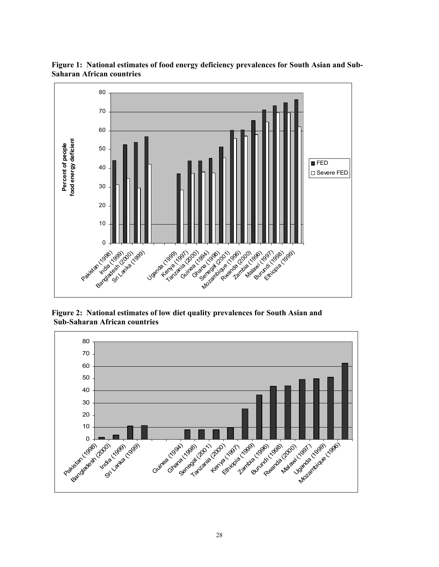

**Figure 1: National estimates of food energy deficiency prevalences for South Asian and Sub-Saharan African countries** 

**Figure 2: National estimates of low diet quality prevalences for South Asian and Sub-Saharan African countries** 

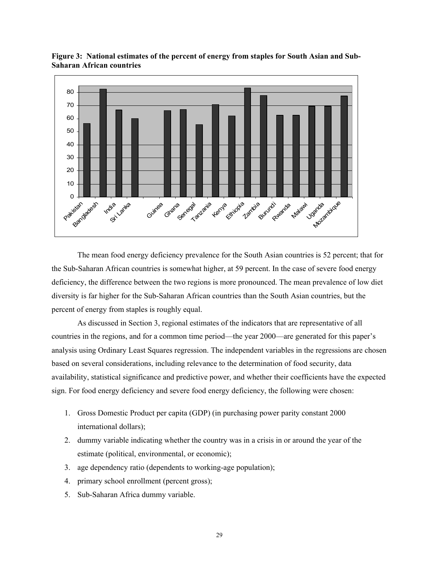

**Figure 3: National estimates of the percent of energy from staples for South Asian and Sub-Saharan African countries** 

 The mean food energy deficiency prevalence for the South Asian countries is 52 percent; that for the Sub-Saharan African countries is somewhat higher, at 59 percent. In the case of severe food energy deficiency, the difference between the two regions is more pronounced. The mean prevalence of low diet diversity is far higher for the Sub-Saharan African countries than the South Asian countries, but the percent of energy from staples is roughly equal.

As discussed in Section 3, regional estimates of the indicators that are representative of all countries in the regions, and for a common time period—the year 2000—are generated for this paper's analysis using Ordinary Least Squares regression. The independent variables in the regressions are chosen based on several considerations, including relevance to the determination of food security, data availability, statistical significance and predictive power, and whether their coefficients have the expected sign. For food energy deficiency and severe food energy deficiency, the following were chosen:

- 1. Gross Domestic Product per capita (GDP) (in purchasing power parity constant 2000 international dollars);
- 2. dummy variable indicating whether the country was in a crisis in or around the year of the estimate (political, environmental, or economic);
- 3. age dependency ratio (dependents to working-age population);
- 4. primary school enrollment (percent gross);
- 5. Sub-Saharan Africa dummy variable.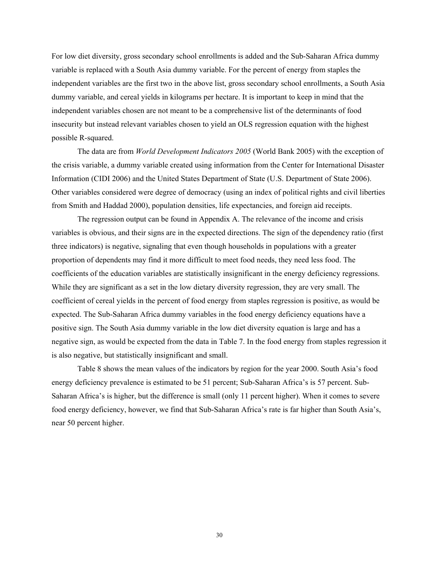For low diet diversity, gross secondary school enrollments is added and the Sub-Saharan Africa dummy variable is replaced with a South Asia dummy variable. For the percent of energy from staples the independent variables are the first two in the above list, gross secondary school enrollments, a South Asia dummy variable, and cereal yields in kilograms per hectare. It is important to keep in mind that the independent variables chosen are not meant to be a comprehensive list of the determinants of food insecurity but instead relevant variables chosen to yield an OLS regression equation with the highest possible R-squared.

The data are from *World Development Indicators 2005* (World Bank 2005) with the exception of the crisis variable, a dummy variable created using information from the Center for International Disaster Information (CIDI 2006) and the United States Department of State (U.S. Department of State 2006). Other variables considered were degree of democracy (using an index of political rights and civil liberties from Smith and Haddad 2000), population densities, life expectancies, and foreign aid receipts.

The regression output can be found in Appendix A. The relevance of the income and crisis variables is obvious, and their signs are in the expected directions. The sign of the dependency ratio (first three indicators) is negative, signaling that even though households in populations with a greater proportion of dependents may find it more difficult to meet food needs, they need less food. The coefficients of the education variables are statistically insignificant in the energy deficiency regressions. While they are significant as a set in the low dietary diversity regression, they are very small. The coefficient of cereal yields in the percent of food energy from staples regression is positive, as would be expected. The Sub-Saharan Africa dummy variables in the food energy deficiency equations have a positive sign. The South Asia dummy variable in the low diet diversity equation is large and has a negative sign, as would be expected from the data in Table 7. In the food energy from staples regression it is also negative, but statistically insignificant and small.

Table 8 shows the mean values of the indicators by region for the year 2000. South Asia's food energy deficiency prevalence is estimated to be 51 percent; Sub-Saharan Africa's is 57 percent. Sub-Saharan Africa's is higher, but the difference is small (only 11 percent higher). When it comes to severe food energy deficiency, however, we find that Sub-Saharan Africa's rate is far higher than South Asia's, near 50 percent higher.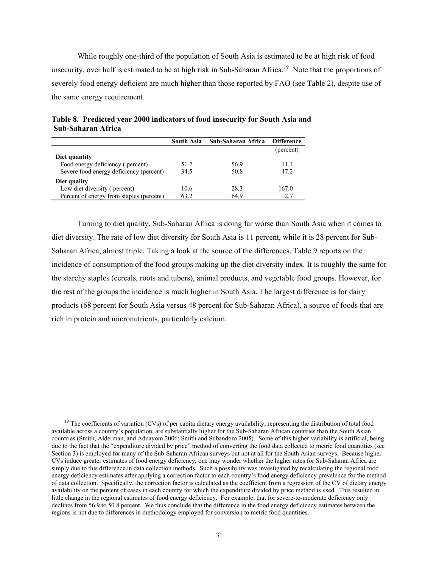While roughly one-third of the population of South Asia is estimated to be at high risk of food insecurity, over half is estimated to be at high risk in Sub-Saharan Africa.<sup>19</sup> Note that the proportions of severely food energy deficient are much higher than those reported by FAO (see Table 2), despite use of the same energy requirement.

|                                          | <b>South Asia</b> | Sub-Saharan Africa | <b>Difference</b> |
|------------------------------------------|-------------------|--------------------|-------------------|
|                                          |                   |                    | (percent)         |
| Diet quantity                            |                   |                    |                   |
| Food energy deficiency (percent)         | 51.2              | 56.9               | 11.1              |
| Severe food energy deficiency (percent)  | 34.5              | 50.8               | 47.2              |
| Diet quality                             |                   |                    |                   |
| Low diet diversity (percent)             | 10.6              | 28.3               | 167.0             |
| Percent of energy from staples (percent) | 63.2              | 64.9               | 2.7               |

**Table 8. Predicted year 2000 indicators of food insecurity for South Asia and Sub-Saharan Africa** 

Turning to diet quality, Sub-Saharan Africa is doing far worse than South Asia when it comes to diet diversity. The rate of low diet diversity for South Asia is 11 percent, while it is 28 percent for Sub-Saharan Africa, almost triple. Taking a look at the source of the differences, Table 9 reports on the incidence of consumption of the food groups making up the diet diversity index. It is roughly the same for the starchy staples (cereals, roots and tubers), animal products, and vegetable food groups. However, for the rest of the groups the incidence is much higher in South Asia. The largest difference is for dairy products (68 percent for South Asia versus 48 percent for Sub-Saharan Africa), a source of foods that are rich in protein and micronutrients, particularly calcium.

<sup>&</sup>lt;sup>19</sup> The coefficients of variation (CVs) of per capita dietary energy availability, representing the distribution of total food available across a country's population, are substantially higher for the Sub-Saharan African countries than the South Asian countries (Smith, Alderman, and Aduayom 2006; Smith and Subandoro 2005). Some of this higher variability is artificial, being due to the fact that the "expenditure divided by price" method of converting the food data collected to metric food quantities (see Section 3) is employed for many of the Sub-Saharan African surveys but not at all for the South Asian surveys. Because higher CVs induce greater estimates of food energy deficiency, one may wonder whether the higher rates for Sub-Saharan Africa are simply due to this difference in data collection methods. Such a possibility was investigated by recalculating the regional food energy deficiency estimates after applying a correction factor to each country's food energy deficiency prevalence for the method of data collection. Specifically, the correction factor is calculated as the coefficient from a regression of the CV of dietary energy availability on the percent of cases in each country for which the expenditure divided by price method is used. This resulted in little change in the regional estimates of food energy deficiency. For example, that for severe-to-moderate deficiency only declines from 56.9 to 50.8 percent. We thus conclude that the difference in the food energy deficiency estimates between the regions is not due to differences in methodology employed for conversion to metric food quantities.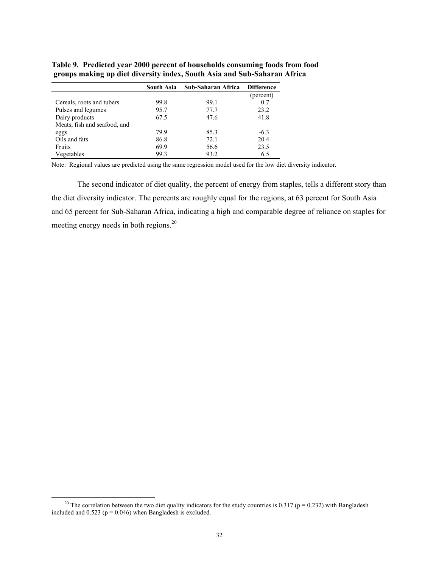|                              | South Asia | Sub-Saharan Africa | <b>Difference</b> |
|------------------------------|------------|--------------------|-------------------|
|                              |            |                    | (percent)         |
| Cereals, roots and tubers    | 99.8       | 99.1               | 0.7               |
| Pulses and legumes           | 95.7       | 77.7               | 23.2              |
| Dairy products               | 67.5       | 47.6               | 41.8              |
| Meats, fish and seafood, and |            |                    |                   |
| eggs                         | 79.9       | 85.3               | $-6.3$            |
| Oils and fats                | 86.8       | 72.1               | 20.4              |
| Fruits                       | 69.9       | 56.6               | 23.5              |
| Vegetables                   | 99.3       | 93.2               | 6.5               |

**Table 9. Predicted year 2000 percent of households consuming foods from food groups making up diet diversity index, South Asia and Sub-Saharan Africa** 

Note: Regional values are predicted using the same regression model used for the low diet diversity indicator.

The second indicator of diet quality, the percent of energy from staples, tells a different story than the diet diversity indicator. The percents are roughly equal for the regions, at 63 percent for South Asia and 65 percent for Sub-Saharan Africa, indicating a high and comparable degree of reliance on staples for meeting energy needs in both regions.<sup>20</sup>

<sup>&</sup>lt;sup>20</sup> The correlation between the two diet quality indicators for the study countries is 0.317 ( $p = 0.232$ ) with Bangladesh included and  $0.523$  ( $p = 0.046$ ) when Bangladesh is excluded.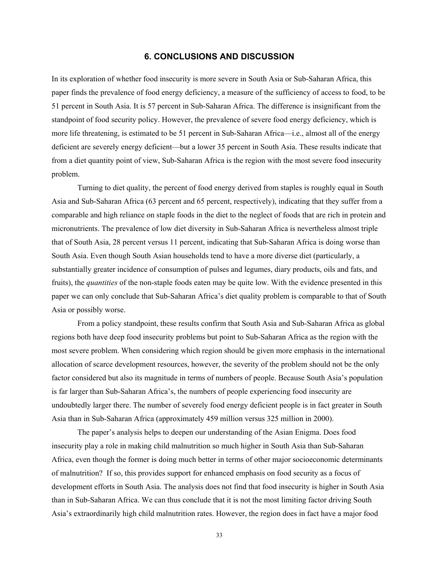## **6. CONCLUSIONS AND DISCUSSION**

In its exploration of whether food insecurity is more severe in South Asia or Sub-Saharan Africa, this paper finds the prevalence of food energy deficiency, a measure of the sufficiency of access to food, to be 51 percent in South Asia. It is 57 percent in Sub-Saharan Africa. The difference is insignificant from the standpoint of food security policy. However, the prevalence of severe food energy deficiency, which is more life threatening, is estimated to be 51 percent in Sub-Saharan Africa—i.e., almost all of the energy deficient are severely energy deficient—but a lower 35 percent in South Asia. These results indicate that from a diet quantity point of view, Sub-Saharan Africa is the region with the most severe food insecurity problem.

Turning to diet quality, the percent of food energy derived from staples is roughly equal in South Asia and Sub-Saharan Africa (63 percent and 65 percent, respectively), indicating that they suffer from a comparable and high reliance on staple foods in the diet to the neglect of foods that are rich in protein and micronutrients. The prevalence of low diet diversity in Sub-Saharan Africa is nevertheless almost triple that of South Asia, 28 percent versus 11 percent, indicating that Sub-Saharan Africa is doing worse than South Asia. Even though South Asian households tend to have a more diverse diet (particularly, a substantially greater incidence of consumption of pulses and legumes, diary products, oils and fats, and fruits), the *quantities* of the non-staple foods eaten may be quite low. With the evidence presented in this paper we can only conclude that Sub-Saharan Africa's diet quality problem is comparable to that of South Asia or possibly worse.

From a policy standpoint, these results confirm that South Asia and Sub-Saharan Africa as global regions both have deep food insecurity problems but point to Sub-Saharan Africa as the region with the most severe problem. When considering which region should be given more emphasis in the international allocation of scarce development resources, however, the severity of the problem should not be the only factor considered but also its magnitude in terms of numbers of people. Because South Asia's population is far larger than Sub-Saharan Africa's, the numbers of people experiencing food insecurity are undoubtedly larger there. The number of severely food energy deficient people is in fact greater in South Asia than in Sub-Saharan Africa (approximately 459 million versus 325 million in 2000).

The paper's analysis helps to deepen our understanding of the Asian Enigma. Does food insecurity play a role in making child malnutrition so much higher in South Asia than Sub-Saharan Africa, even though the former is doing much better in terms of other major socioeconomic determinants of malnutrition? If so, this provides support for enhanced emphasis on food security as a focus of development efforts in South Asia. The analysis does not find that food insecurity is higher in South Asia than in Sub-Saharan Africa. We can thus conclude that it is not the most limiting factor driving South Asia's extraordinarily high child malnutrition rates. However, the region does in fact have a major food

33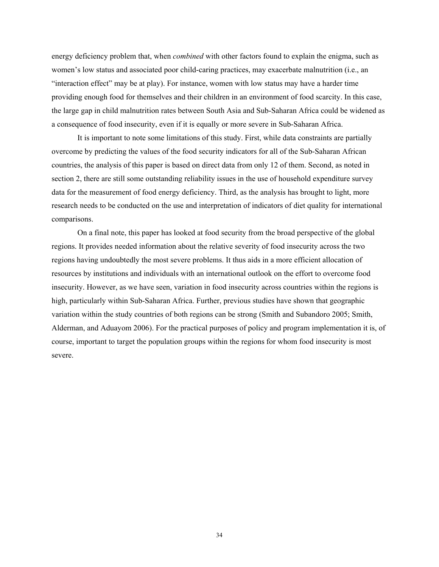energy deficiency problem that, when *combined* with other factors found to explain the enigma, such as women's low status and associated poor child-caring practices, may exacerbate malnutrition (i.e., an "interaction effect" may be at play). For instance, women with low status may have a harder time providing enough food for themselves and their children in an environment of food scarcity. In this case, the large gap in child malnutrition rates between South Asia and Sub-Saharan Africa could be widened as a consequence of food insecurity, even if it is equally or more severe in Sub-Saharan Africa.

It is important to note some limitations of this study. First, while data constraints are partially overcome by predicting the values of the food security indicators for all of the Sub-Saharan African countries, the analysis of this paper is based on direct data from only 12 of them. Second, as noted in section 2, there are still some outstanding reliability issues in the use of household expenditure survey data for the measurement of food energy deficiency. Third, as the analysis has brought to light, more research needs to be conducted on the use and interpretation of indicators of diet quality for international comparisons.

On a final note, this paper has looked at food security from the broad perspective of the global regions. It provides needed information about the relative severity of food insecurity across the two regions having undoubtedly the most severe problems. It thus aids in a more efficient allocation of resources by institutions and individuals with an international outlook on the effort to overcome food insecurity. However, as we have seen, variation in food insecurity across countries within the regions is high, particularly within Sub-Saharan Africa. Further, previous studies have shown that geographic variation within the study countries of both regions can be strong (Smith and Subandoro 2005; Smith, Alderman, and Aduayom 2006). For the practical purposes of policy and program implementation it is, of course, important to target the population groups within the regions for whom food insecurity is most severe.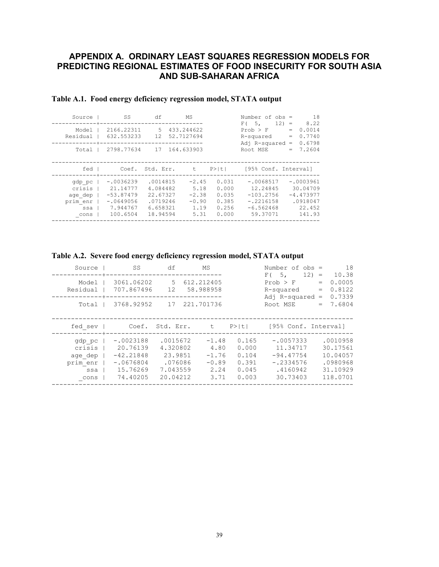## **APPENDIX A. ORDINARY LEAST SQUARES REGRESSION MODELS FOR PREDICTING REGIONAL ESTIMATES OF FOOD INSECURITY FOR SOUTH ASIA AND SUB-SAHARAN AFRICA**

| Source   | SS          | df        | МS            |       | Number of $obs =$    |         | 18          |
|----------|-------------|-----------|---------------|-------|----------------------|---------|-------------|
|          |             |           |               |       | F(5,                 | $12) =$ | 8.22        |
| Model    | 2166.22311  | .5        | 433.244622    |       | Prob > F             | $=$     | 0.0014      |
| Residual | 632.553233  | 12.       | 52.7127694    |       | R-squared            | $=$     | 0.7740      |
|          |             |           |               |       | Adj $R$ -squared =   |         | 0.6798      |
| Total    | 2798.77634  |           | 17 164.633903 |       | Root MSE             | $=$     | 7.2604      |
|          |             |           |               |       |                      |         |             |
|          |             |           |               |       |                      |         |             |
| fed      | Coef.       | Std. Err. | t             | P>iti | [95% Conf. Interval] |         |             |
|          |             |           |               |       |                      |         |             |
| gdp pc   | $-.0036239$ | .0014815  | $-2.45$       | 0.031 | $-.0068517$          |         | $-.0003961$ |
| crisis   | 21.14777    | 4.084482  | 5.18          | 0.000 | 12.24845             |         | 30.04709    |
| age dep  | $-53.87479$ | 22.67327  | $-2.38$       | 0.035 | $-103.2756$          |         | $-4.473977$ |
| prim enr | $-.0649056$ | .0719246  | $-0.90$       | 0.385 | $-.2216158$          |         | .0918047    |
| ssa      | 7.944767    | 6.658321  | 1.19          | 0.256 | $-6.562468$          |         | 22.452      |
| cons     | 100.6504    | 18.94594  | 5.31          | 0.000 | 59.37071             |         | 141.93      |
|          |             |           |               |       |                      |         |             |
|          |             |           |               |       |                      |         |             |

## **Table A.1. Food energy deficiency regression model, STATA output**

| Table A.2. Severe food energy deficiency regression model, STATA output |
|-------------------------------------------------------------------------|
|                                                                         |

| Source                                                 | SS                                                                            | df                                                                 | МS                                                    |                                                    | Number of obs =<br>F(5,                                                       | 18<br>$12) =$<br>10.38                                               |
|--------------------------------------------------------|-------------------------------------------------------------------------------|--------------------------------------------------------------------|-------------------------------------------------------|----------------------------------------------------|-------------------------------------------------------------------------------|----------------------------------------------------------------------|
| Model<br>Residual                                      | 3061.06202<br>707.867496                                                      | 5.<br>12 <sup>°</sup>                                              | 612.212405<br>58.988958                               |                                                    | Prob > F<br>R-squared<br>$Ad1$ R-squared =                                    | 0.0005<br>$=$<br>0.8122<br>$\qquad \qquad =$<br>0.7339               |
| Total                                                  | 3768.92952                                                                    | 17                                                                 | 221.701736                                            |                                                    | Root MSE                                                                      | 7.6804<br>$=$                                                        |
| fed sev                                                |                                                                               | Coef. Std. Err.                                                    | t                                                     | $P>$  t                                            | [95% Conf. Interval]                                                          |                                                                      |
| gdp pc<br>crisis<br>age dep<br>prim enr<br>ssa<br>cons | $-.0023188$<br>20.76139<br>$-42.21848$<br>$-.0676804$<br>15.76269<br>74.40205 | .0015672<br>4.320802<br>23.9851<br>.076086<br>7.043559<br>20.04212 | $-1.48$<br>4.80<br>$-1.76$<br>$-0.89$<br>2.24<br>3.71 | 0.165<br>0.000<br>0.104<br>0.391<br>0.045<br>0.003 | $-.0057333$<br>11.34717<br>$-94.47754$<br>$-.2334576$<br>.4160942<br>30.73403 | .0010958<br>30.17561<br>10.04057<br>.0980968<br>31.10929<br>118.0701 |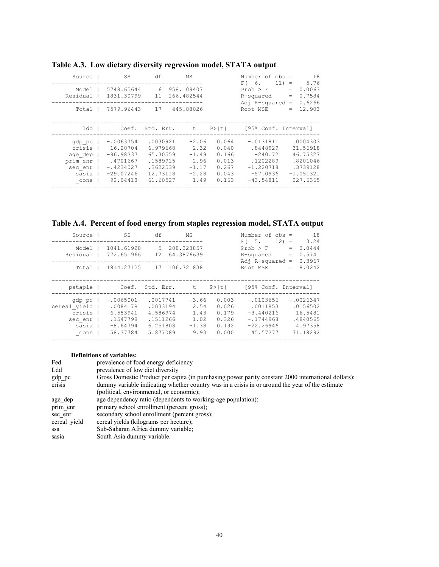| Source   | SS          | df              | МS         |       | Number of $obs =$    | 18              |
|----------|-------------|-----------------|------------|-------|----------------------|-----------------|
|          |             |                 |            |       | $F$ (6,              | 5.76<br>$11) =$ |
| Model    | 5748.65644  | 6               | 958.109407 |       | Prob > F             | 0.0063<br>$=$   |
| Residual | 1831.30799  | 11              | 166.482544 |       | R-squared            | 0.7584<br>$=$   |
|          |             |                 |            |       | $Ad1$ R-squared =    | 0.6266          |
| Total    | 7579.96443  | 17              | 445.88026  |       | Root MSE             | 12.903<br>$=$   |
|          |             |                 |            |       |                      |                 |
|          |             |                 |            |       |                      |                 |
| ldd      |             | Coef. Std. Err. | t          | P>iti | [95% Conf. Interval] |                 |
| gdp pc   | $-.0063754$ | .0030921        | $-2.06$    | 0.064 | $-.0131811$          | .0004303        |
|          |             |                 |            |       |                      |                 |
| crisis   | 16.20704    | 6.979668        | 2.32       | 0.040 | .8448929             | 31.56918        |
| age dep  | $-96.98337$ | 65.30559        | $-1.49$    | 0.166 | $-240.72$            | 46.75327        |
| prim enr | .4701667    | .1589915        | 2.96       | 0.013 | .1202289             | .8201046        |
| sec enr  | $-.4234027$ | .3622539        | $-1.17$    | 0.267 | $-1.220718$          | .3739128        |
| sasia    | $-29.07246$ | 12.73118        | $-2.28$    | 0.043 | $-57.0936$           | $-1.051321$     |
| cons     | 92.04418    | 61.60527        | 1.49       | 0.163 | $-43.54811$          | 227.6365        |
|          |             |                 |            |       |                      |                 |

# **Table A.3. Low dietary diversity regression model, STATA output**

**Table A.4. Percent of food energy from staples regression model, STATA output** 

| Source       | SS          | df        | МS         |        | Number of $obs =$    | 18                          |
|--------------|-------------|-----------|------------|--------|----------------------|-----------------------------|
|              |             |           |            |        | $F$ (5,              | 3.24<br>$12) =$             |
| Model        | 1041.61928  | 5.        | 208.323857 |        | $Prob$ > $F$         | 0.0444<br>$=$               |
| Residual     | 772.651966  | 12.       | 64.3876639 |        | R-squared            | 0.5741<br>$\qquad \qquad =$ |
|              |             |           |            |        | Adj $R$ -squared =   | 0.3967                      |
| Total        | 1814.27125  | 17        | 106.721838 |        | Root MSE             | 8.0242<br>$=$               |
|              |             |           |            |        |                      |                             |
|              |             |           |            |        |                      |                             |
| pstaple      | Coef.       | Std. Err. | t          | P >  t | [95% Conf. Interval] |                             |
|              |             |           |            |        |                      |                             |
| gdp pc       | $-.0065001$ | .0017741  | $-3.66$    | 0.003  | $-.0103656$          | $-.0026347$                 |
| cereal yield | .0084178    | .0033194  | 2.54       | 0.026  | .0011853             | .0156502                    |
| crisis       | 6.553941    | 4.586974  | 1.43       | 0.179  | $-3.440216$          | 16.5481                     |
| sec enr      | .1547798    | .1511266  | 1.02       | 0.326  | $-.1744968$          | .4840565                    |
| sasia        | $-8.64794$  | 6.251808  | $-1.38$    | 0.192  | $-22.26946$          | 4.97358                     |
| cons         | 58.37784    | 5.877089  | 9.93       | 0.000  | 45.57277             | 71.18292                    |
|              |             |           |            |        |                      |                             |

#### **Definitions of variables:**

| Fed          | prevalence of food energy deficiency                                                                |
|--------------|-----------------------------------------------------------------------------------------------------|
| Ldd          | prevalence of low diet diversity                                                                    |
| gdp pc       | Gross Domestic Product per capita (in purchasing power parity constant 2000 international dollars); |
| crisis       | dummy variable indicating whether country was in a crisis in or around the year of the estimate     |
|              | (political, environmental, or economic);                                                            |
| age dep      | age dependency ratio (dependents to working-age population);                                        |
| prim enr     | primary school enrollment (percent gross);                                                          |
| sec enr      | secondary school enrollment (percent gross);                                                        |
| cereal yield | cereal yields (kilograms per hectare);                                                              |
| ssa          | Sub-Saharan Africa dummy variable;                                                                  |
| sasia        | South Asia dummy variable.                                                                          |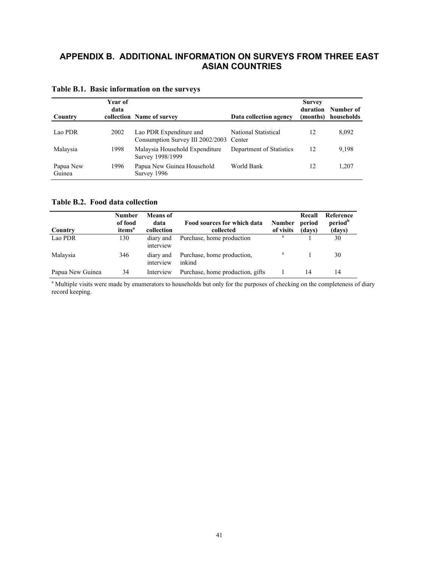# **APPENDIX B. ADDITIONAL INFORMATION ON SURVEYS FROM THREE EAST ASIAN COUNTRIES**

| Country             | Year of<br>data | collection Name of survey                                   | Data collection agency         | <b>Survey</b><br>duration<br>(months) | Number of<br>households |
|---------------------|-----------------|-------------------------------------------------------------|--------------------------------|---------------------------------------|-------------------------|
| Lao PDR             | 2002            | Lao PDR Expenditure and<br>Consumption Survey III 2002/2003 | National Statistical<br>Center | 12                                    | 8,092                   |
| Malaysia            | 1998            | Malaysia Household Expenditure<br>Survey 1998/1999          | Department of Statistics       | 12                                    | 9,198                   |
| Papua New<br>Guinea | 1996            | Papua New Guinea Household<br>Survey 1996                   | World Bank                     | 12                                    | 1,207                   |

## **Table B.1. Basic information on the surveys**

**Table B.2. Food data collection** 

| Country          | <b>Number</b><br>of food<br>items <sup>a</sup> | Means of<br>data<br>collection | Food sources for which data<br>collected | <b>Number</b><br>of visits | Recall<br>period<br>(days) | Reference<br>period <sup>b</sup><br>(days) |
|------------------|------------------------------------------------|--------------------------------|------------------------------------------|----------------------------|----------------------------|--------------------------------------------|
| Lao PDR          | 130                                            | diary and<br>interview         | Purchase, home production                | a                          |                            | 30                                         |
| Malaysia         | 346                                            | diary and<br>interview         | Purchase, home production,<br>inkind     |                            |                            | 30                                         |
| Papua New Guinea | 34                                             | Interview                      | Purchase, home production, gifts         |                            | 14                         | 14                                         |

<sup>a</sup> Multiple visits were made by enumerators to households but only for the purposes of checking on the completeness of diary record keeping.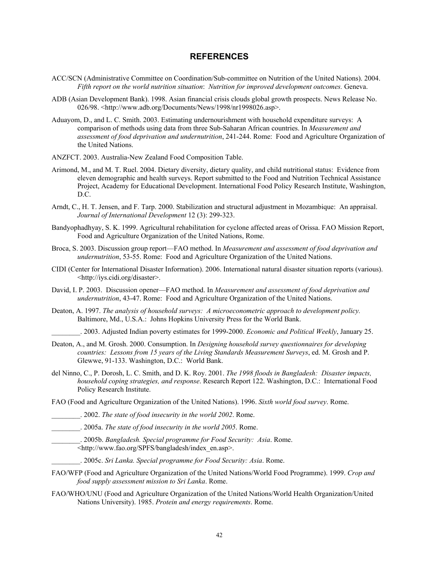#### **REFERENCES**

- ACC/SCN (Administrative Committee on Coordination/Sub-committee on Nutrition of the United Nations). 2004. *Fifth report on the world nutrition situation*: *Nutrition for improved development outcomes.* Geneva.
- ADB (Asian Development Bank). 1998. Asian financial crisis clouds global growth prospects. News Release No. 026/98. <http://www.adb.org/Documents/News/1998/nr1998026.asp>.
- Aduayom, D., and L. C. Smith. 2003. Estimating undernourishment with household expenditure surveys: A comparison of methods using data from three Sub-Saharan African countries. In *Measurement and assessment of food deprivation and undernutrition*, 241-244. Rome: Food and Agriculture Organization of the United Nations.
- ANZFCT. 2003. Australia-New Zealand Food Composition Table.
- Arimond, M., and M. T. Ruel. 2004. Dietary diversity, dietary quality, and child nutritional status: Evidence from eleven demographic and health surveys. Report submitted to the Food and Nutrition Technical Assistance Project, Academy for Educational Development. International Food Policy Research Institute, Washington, D.C.
- Arndt, C., H. T. Jensen, and F. Tarp. 2000. Stabilization and structural adjustment in Mozambique: An appraisal. *Journal of International Development* 12 (3): 299-323.
- Bandyophadhyay, S. K. 1999. Agricultural rehabilitation for cyclone affected areas of Orissa. FAO Mission Report, Food and Agriculture Organization of the United Nations, Rome.
- Broca, S. 2003. Discussion group report—FAO method. In *Measurement and assessment of food deprivation and undernutrition*, 53-55. Rome: Food and Agriculture Organization of the United Nations.
- CIDI (Center for International Disaster Information). 2006. International natural disaster situation reports (various). <http://iys.cidi.org/disaster>.
- David, I. P. 2003. Discussion opener—FAO method. In *Measurement and assessment of food deprivation and undernutrition*, 43-47. Rome: Food and Agriculture Organization of the United Nations.
- Deaton, A. 1997. *The analysis of household surveys: A microeconometric approach to development policy.*  Baltimore, Md., U.S.A.: Johns Hopkins University Press for the World Bank.

\_\_\_\_\_\_\_\_. 2003. Adjusted Indian poverty estimates for 1999-2000. *Economic and Political Weekly*, January 25.

- Deaton, A., and M. Grosh. 2000. Consumption. In *Designing household survey questionnaires for developing countries: Lessons from 15 years of the Living Standards Measurement Surveys*, ed. M. Grosh and P. Glewwe, 91-133. Washington, D.C.: World Bank.
- del Ninno, C., P. Dorosh, L. C. Smith, and D. K. Roy. 2001. *The 1998 floods in Bangladesh: Disaster impacts, household coping strategies, and response*. Research Report 122. Washington, D.C.: International Food Policy Research Institute.

FAO (Food and Agriculture Organization of the United Nations). 1996. *Sixth world food survey*. Rome.

- \_\_\_\_\_\_\_\_. 2002. *The state of food insecurity in the world 2002*. Rome.
- \_\_\_\_\_\_\_\_. 2005a. *The state of food insecurity in the world 2005*. Rome.
	- \_\_\_\_\_\_\_\_. 2005b. *Bangladesh. Special programme for Food Security: Asia*. Rome. <http://www.fao.org/SPFS/bangladesh/index\_en.asp>.
		- \_\_\_\_\_\_\_\_. 2005c. *Sri Lanka. Special programme for Food Security: Asia*. Rome.
- FAO/WFP (Food and Agriculture Organization of the United Nations/World Food Programme). 1999. *Crop and food supply assessment mission to Sri Lanka*. Rome.
- FAO/WHO/UNU (Food and Agriculture Organization of the United Nations/World Health Organization/United Nations University). 1985. *Protein and energy requirements*. Rome.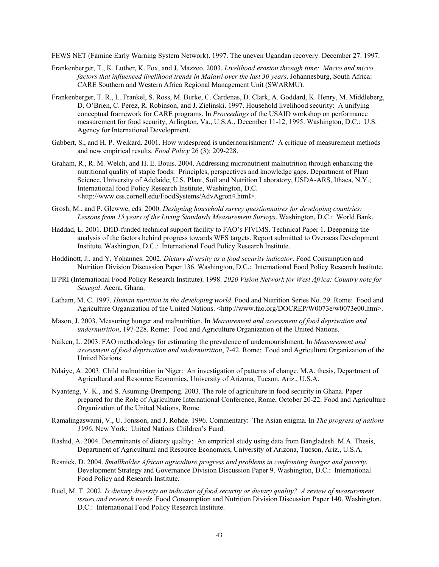FEWS NET (Famine Early Warning System Network). 1997. The uneven Ugandan recovery. December 27. 1997.

- Frankenberger, T., K. Luther, K. Fox, and J. Mazzeo. 2003. *Livelihood erosion through time: Macro and micro factors that influenced livelihood trends in Malawi over the last 30 years*. Johannesburg, South Africa: CARE Southern and Western Africa Regional Management Unit (SWARMU).
- Frankenberger, T. R., L. Frankel, S. Ross, M. Burke, C. Cardenas, D. Clark, A. Goddard, K. Henry, M. Middleberg, D. O'Brien, C. Perez, R. Robinson, and J. Zielinski. 1997. Household livelihood security: A unifying conceptual framework for CARE programs. In *Proceedings* of the USAID workshop on performance measurement for food security, Arlington, Va., U.S.A., December 11-12, 1995. Washington, D.C.: U.S. Agency for International Development.
- Gabbert, S., and H. P. Weikard. 2001. How widespread is undernourishment? A critique of measurement methods and new empirical results. *Food Policy* 26 (3): 209-228.
- Graham, R., R. M. Welch, and H. E. Bouis. 2004. Addressing micronutrient malnutrition through enhancing the nutritional quality of staple foods: Principles, perspectives and knowledge gaps. Department of Plant Science, University of Adelaide; U.S. Plant, Soil and Nutrition Laboratory, USDA-ARS, Ithaca, N.Y.; International food Policy Research Institute, Washington, D.C. <http://www.css.cornell.edu/FoodSystems/AdvAgron4.html>.
- Grosh, M., and P. Glewwe, eds. 2000. *Designing household survey questionnaires for developing countries: Lessons from 15 years of the Living Standards Measurement Surveys*. Washington, D.C.: World Bank.
- Haddad, L. 2001. DfID-funded technical support facility to FAO's FIVIMS. Technical Paper 1. Deepening the analysis of the factors behind progress towards WFS targets. Report submitted to Overseas Development Institute. Washington, D.C.: International Food Policy Research Institute.
- Hoddinott, J., and Y. Yohannes. 2002. *Dietary diversity as a food security indicator*. Food Consumption and Nutrition Division Discussion Paper 136. Washington, D.C.: International Food Policy Research Institute.
- IFPRI (International Food Policy Research Institute). 1998. *2020 Vision Network for West Africa: Country note for Senegal*. Accra, Ghana.
- Latham, M. C. 1997. *Human nutrition in the developing world*. Food and Nutrition Series No. 29. Rome: Food and Agriculture Organization of the United Nations. <http://www.fao.org/DOCREP/W0073e/w0073e00.htm>.
- Mason, J. 2003. Measuring hunger and malnutrition. In *Measurement and assessment of food deprivation and undernutrition*, 197-228. Rome: Food and Agriculture Organization of the United Nations.
- Naiken, L. 2003. FAO methodology for estimating the prevalence of undernourishment. In *Measurement and assessment of food deprivation and undernutrition*, 7-42. Rome: Food and Agriculture Organization of the United Nations.
- Ndaiye, A. 2003. Child malnutrition in Niger: An investigation of patterns of change. M.A. thesis, Department of Agricultural and Resource Economics, University of Arizona, Tucson, Ariz., U.S.A.
- Nyanteng, V. K., and S. Asuming-Brempong. 2003. The role of agriculture in food security in Ghana. Paper prepared for the Role of Agriculture International Conference, Rome, October 20-22. Food and Agriculture Organization of the United Nations, Rome.
- Ramalingaswami, V., U. Jonsson, and J. Rohde. 1996. Commentary: The Asian enigma. In *The progress of nations 1996.* New York: United Nations Children's Fund.
- Rashid, A. 2004. Determinants of dietary quality: An empirical study using data from Bangladesh. M.A. Thesis, Department of Agricultural and Resource Economics, University of Arizona, Tucson, Ariz., U.S.A.
- Resnick, D. 2004. *Smallholder African agriculture progress and problems in confronting hunger and poverty*. Development Strategy and Governance Division Discussion Paper 9. Washington, D.C.: International Food Policy and Research Institute.
- Ruel, M. T. 2002. *Is dietary diversity an indicator of food security or dietary quality? A review of measurement issues and research needs*. Food Consumption and Nutrition Division Discussion Paper 140. Washington, D.C.: International Food Policy Research Institute.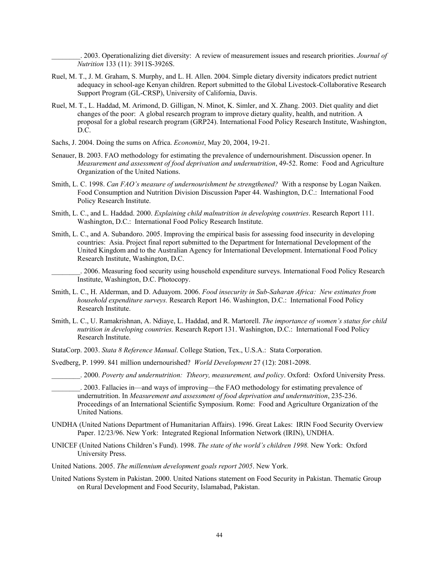\_\_\_\_\_\_\_\_. 2003. Operationalizing diet diversity: A review of measurement issues and research priorities. *Journal of Nutrition* 133 (11): 3911S-3926S.

- Ruel, M. T., J. M. Graham, S. Murphy, and L. H. Allen. 2004. Simple dietary diversity indicators predict nutrient adequacy in school-age Kenyan children. Report submitted to the Global Livestock-Collaborative Research Support Program (GL-CRSP), University of California, Davis.
- Ruel, M. T., L. Haddad, M. Arimond, D. Gilligan, N. Minot, K. Simler, and X. Zhang. 2003. Diet quality and diet changes of the poor: A global research program to improve dietary quality, health, and nutrition. A proposal for a global research program (GRP24). International Food Policy Research Institute, Washington, D.C.
- Sachs, J. 2004. Doing the sums on Africa. *Economist*, May 20, 2004, 19-21.
- Senauer, B. 2003. FAO methodology for estimating the prevalence of undernourishment. Discussion opener. In *Measurement and assessment of food deprivation and undernutrition*, 49-52. Rome: Food and Agriculture Organization of the United Nations.
- Smith, L. C. 1998. *Can FAO's measure of undernourishment be strengthened?* With a response by Logan Naiken. Food Consumption and Nutrition Division Discussion Paper 44. Washington, D.C.: International Food Policy Research Institute.
- Smith, L. C., and L. Haddad. 2000. *Explaining child malnutrition in developing countries*. Research Report 111. Washington, D.C.: International Food Policy Research Institute.
- Smith, L. C., and A. Subandoro. 2005. Improving the empirical basis for assessing food insecurity in developing countries: Asia. Project final report submitted to the Department for International Development of the United Kingdom and to the Australian Agency for International Development. International Food Policy Research Institute, Washington, D.C.

\_\_\_\_\_\_\_\_. 2006. Measuring food security using household expenditure surveys. International Food Policy Research Institute, Washington, D.C. Photocopy.

- Smith, L. C., H. Alderman, and D. Aduayom. 2006. *Food insecurity in Sub-Saharan Africa: New estimates from household expenditure surveys.* Research Report 146. Washington, D.C.: International Food Policy Research Institute.
- Smith, L. C., U. Ramakrishnan, A. Ndiaye, L. Haddad, and R. Martorell. *The importance of women's status for child nutrition in developing countries.* Research Report 131. Washington, D.C.: International Food Policy Research Institute.
- StataCorp. 2003. *Stata 8 Reference Manual*. College Station, Tex., U.S.A.: Stata Corporation.
- Svedberg, P. 1999. 841 million undernourished? *World Development* 27 (12): 2081-2098.

\_\_\_\_\_\_\_\_. 2000. *Poverty and undernutrition: Ttheory, measurement, and policy*. Oxford: Oxford University Press.

\_\_\_\_\_\_\_\_. 2003. Fallacies in—and ways of improving—the FAO methodology for estimating prevalence of undernutrition. In *Measurement and assessment of food deprivation and undernutrition*, 235-236. Proceedings of an International Scientific Symposium. Rome: Food and Agriculture Organization of the United Nations.

- UNDHA (United Nations Department of Humanitarian Affairs). 1996. Great Lakes: IRIN Food Security Overview Paper. 12/23/96. New York: Integrated Regional Information Network (IRIN), UNDHA.
- UNICEF (United Nations Children's Fund). 1998. *The state of the world's children 1998.* New York: Oxford University Press.
- United Nations. 2005. *The millennium development goals report 2005*. New York.
- United Nations System in Pakistan. 2000. United Nations statement on Food Security in Pakistan. Thematic Group on Rural Development and Food Security, Islamabad, Pakistan.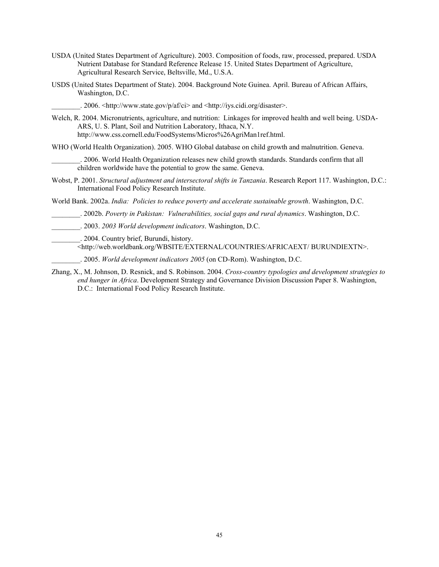- USDA (United States Department of Agriculture). 2003. Composition of foods, raw, processed, prepared. USDA Nutrient Database for Standard Reference Release 15. United States Department of Agriculture, Agricultural Research Service, Beltsville, Md., U.S.A.
- USDS (United States Department of State). 2004. Background Note Guinea. April. Bureau of African Affairs, Washington, D.C.

\_\_\_\_\_\_\_\_. 2006. <http://www.state.gov/p/af/ci> and <http://iys.cidi.org/disaster>.

- Welch, R. 2004. Micronutrients, agriculture, and nutrition: Linkages for improved health and well being. USDA-ARS, U. S. Plant, Soil and Nutrition Laboratory, Ithaca, N.Y. http://www.css.cornell.edu/FoodSystems/Micros%26AgriMan1ref.html.
- WHO (World Health Organization). 2005. WHO Global database on child growth and malnutrition. Geneva.

\_\_\_\_\_\_\_\_. 2006. World Health Organization releases new child growth standards. Standards confirm that all children worldwide have the potential to grow the same. Geneva.

Wobst, P. 2001. *Structural adjustment and intersectoral shifts in Tanzania*. Research Report 117. Washington, D.C.: International Food Policy Research Institute.

World Bank. 2002a. *India: Policies to reduce poverty and accelerate sustainable growth*. Washington, D.C.

\_\_\_\_\_\_\_\_. 2002b. *Poverty in Pakistan: Vulnerabilities, social gaps and rural dynamics*. Washington, D.C.

- \_\_\_\_\_\_\_\_. 2003. *2003 World development indicators*. Washington, D.C.
	- \_\_\_\_\_\_\_\_. 2004. Country brief, Burundi, history.

<http://web.worldbank.org/WBSITE/EXTERNAL/COUNTRIES/AFRICAEXT/ BURUNDIEXTN>.

\_\_\_\_\_\_\_\_. 2005. *World development indicators 2005* (on CD-Rom). Washington, D.C.

Zhang, X., M. Johnson, D. Resnick, and S. Robinson. 2004. *Cross-country typologies and development strategies to end hunger in Africa*. Development Strategy and Governance Division Discussion Paper 8. Washington, D.C.: International Food Policy Research Institute.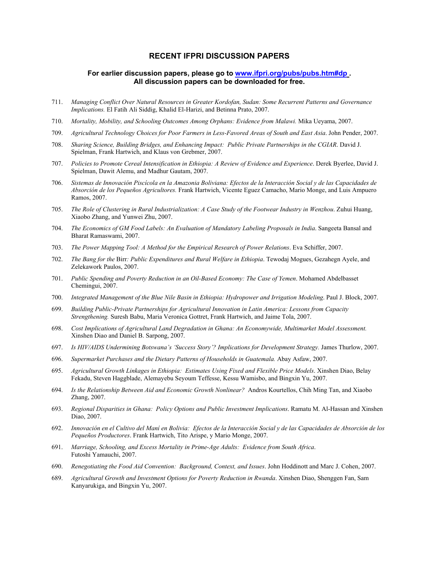#### **RECENT IFPRI DISCUSSION PAPERS**

#### **For earlier discussion papers, please go to www.ifpri.org/pubs/pubs.htm#dp . All discussion papers can be downloaded for free.**

- 711. *Managing Conflict Over Natural Resources in Greater Kordofan, Sudan: Some Recurrent Patterns and Governance Implications.* El Fatih Ali Siddig, Khalid El-Harizi, and Betinna Prato, 2007.
- 710. *Mortality, Mobility, and Schooling Outcomes Among Orphans: Evidence from Malawi.* Mika Ueyama, 2007.
- 709. *Agricultural Technology Choices for Poor Farmers in Less-Favored Areas of South and East Asia*. John Pender, 2007.
- 708. *Sharing Science, Building Bridges, and Enhancing Impact: Public Private Partnerships in the CGIAR*. David J. Spielman, Frank Hartwich, and Klaus von Grebmer, 2007.
- 707. *Policies to Promote Cereal Intensification in Ethiopia: A Review of Evidence and Experience*. Derek Byerlee, David J. Spielman, Dawit Alemu, and Madhur Gautam, 2007.
- 706. *Sistemas de Innovación Piscícola en la Amazonia Boliviana: Efectos de la Interacción Social y de las Capacidades de Absorción de los Pequeños Agricultores.* Frank Hartwich, Vicente Eguez Camacho, Mario Monge, and Luis Ampuero Ramos, 2007.
- 705. *The Role of Clustering in Rural Industrialization: A Case Study of the Footwear Industry in Wenzhou*. Zuhui Huang, Xiaobo Zhang, and Yunwei Zhu, 2007.
- 704. *The Economics of GM Food Labels: An Evaluation of Mandatory Labeling Proposals in India*. Sangeeta Bansal and Bharat Ramaswami, 2007.
- 703. *The Power Mapping Tool: A Method for the Empirical Research of Power Relations*. Eva Schiffer, 2007.
- 702. *The Bang for the* Birr*: Public Expenditures and Rural Welfare in Ethiopia*. Tewodaj Mogues, Gezahegn Ayele, and Zelekawork Paulos, 2007.
- 701. *Public Spending and Poverty Reduction in an Oil-Based Economy: The Case of Yemen*. Mohamed Abdelbasset Chemingui, 2007.
- 700. *Integrated Management of the Blue Nile Basin in Ethiopia: Hydropower and Irrigation Modeling*. Paul J. Block, 2007.
- 699. *Building Public-Private Partnerships for Agricultural Innovation in Latin America: Lessons from Capacity Strengthening.* Suresh Babu, Maria Veronica Gottret, Frank Hartwich, and Jaime Tola, 2007.
- 698. *Cost Implications of Agricultural Land Degradation in Ghana: An Economywide, Multimarket Model Assessment.*  Xinshen Diao and Daniel B. Sarpong, 2007.
- 697. *Is HIV/AIDS Undermining Botswana's 'Success Story'? Implications for Development Strategy.* James Thurlow, 2007.
- 696. *Supermarket Purchases and the Dietary Patterns of Households in Guatemala.* Abay Asfaw, 2007.
- 695. *Agricultural Growth Linkages in Ethiopia: Estimates Using Fixed and Flexible Price Models*. Xinshen Diao, Belay Fekadu, Steven Haggblade, Alemayebu Seyoum Teffesse, Kessu Wamisbo, and Bingxin Yu, 2007.
- 694. *Is the Relationship Between Aid and Economic Growth Nonlinear?* Andros Kourtellos, Chih Ming Tan, and Xiaobo Zhang, 2007.
- 693. *Regional Disparities in Ghana: Policy Options and Public Investment Implications*. Ramatu M. Al-Hassan and Xinshen Diao, 2007.
- 692. *Innovación en el Cultivo del Maní en Bolivia: Efectos de la Interacción Social y de las Capacidades de Absorción de los Pequeños Productores*. Frank Hartwich, Tito Arispe, y Mario Monge, 2007.
- 691. *Marriage, Schooling, and Excess Mortality in Prime-Age Adults: Evidence from South Africa*. Futoshi Yamauchi, 2007.
- 690. *Renegotiating the Food Aid Convention: Background, Context, and Issues*. John Hoddinott and Marc J. Cohen, 2007.
- 689. *Agricultural Growth and Investment Options for Poverty Reduction in Rwanda*. Xinshen Diao, Shenggen Fan, Sam Kanyarukiga, and Bingxin Yu, 2007.